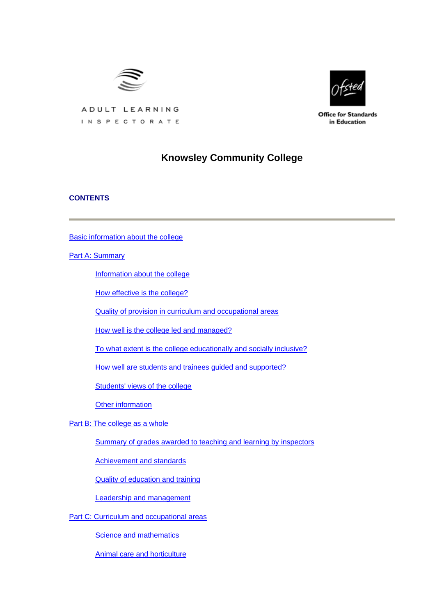

ADULT LEARNING



**Office for Standards** in Education

# INSPECTORATE

## **Knowsley Community College**

## **CONTENTS**

[Basic information about the college](#page-1-0)

[Part A: Summary](#page-2-0)

[Information about the college](#page-2-0)

[How effective is the college?](#page-2-0)

[Quality of provision in curriculum and occupational areas](#page-4-0)

[How well is the college led and managed?](#page-7-0)

[To what extent is the college educationally and socially inclusive?](#page-7-0)

[How well are students and trainees guided and supported?](#page-7-0)

[Students' views of the college](#page-8-0)

[Other information](#page-9-0)

[Part B: The college as a whole](#page-9-0)

[Summary of grades awarded to teaching and learning by inspectors](#page-9-0)

[Achievement and standards](#page-10-0)

[Quality of education and training](#page-11-0)

[Leadership and management](#page-16-0)

[Part C: Curriculum and occupational areas](#page-18-0)

[Science and mathematics](#page-18-0)

[Animal care and horticulture](#page-21-0)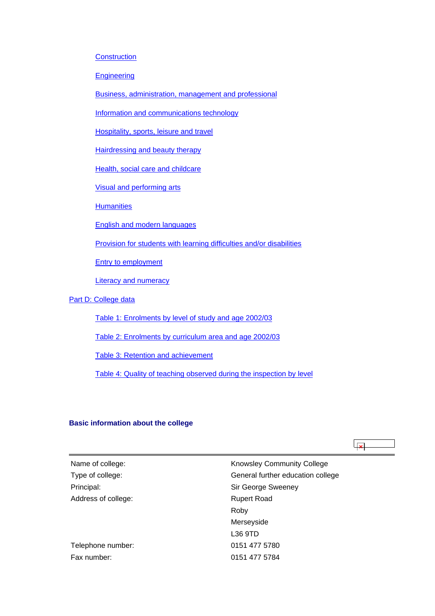<span id="page-1-0"></span>**[Construction](#page-24-0)** 

**[Engineering](#page-27-0)** 

[Business, administration, management and professional](#page-30-0)

[Information and communications technology](#page-33-0)

[Hospitality, sports, leisure and travel](#page-36-0)

[Hairdressing and beauty therapy](#page-39-0)

[Health, social care and childcare](#page-42-0)

[Visual and performing arts](#page-45-0)

**[Humanities](#page-48-0)** 

[English and modern languages](#page-52-0)

[Provision for students with learning difficulties and/or disabilities](#page-55-0)

[Entry to employment](#page-57-0)

[Literacy and numeracy](#page-60-0)

## [Part D: College data](#page-63-0)

[Table 1: Enrolments by level of study and age 2002/03](#page-63-0)

[Table 2: Enrolments by curriculum area and age 2002/03](#page-63-0)

[Table 3: Retention and achievement](#page-64-0)

[Table 4: Quality of teaching observed during the inspection by level](#page-65-0)

#### **Basic information about the college**

| Name of college:    | <b>Knowsley Community College</b> |
|---------------------|-----------------------------------|
| Type of college:    | General further education college |
| Principal:          | Sir George Sweeney                |
| Address of college: | <b>Rupert Road</b>                |
|                     | Roby                              |
|                     | Merseyside                        |
|                     | L36 9TD                           |
| Telephone number:   | 0151 477 5780                     |
| Fax number:         | 0151 477 5784                     |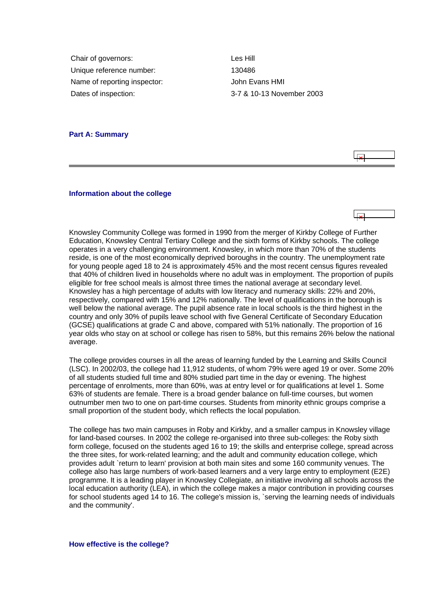<span id="page-2-0"></span>Chair of governors: Les Hill Unique reference number: 130486 Name of reporting inspector: John Evans HMI Dates of inspection: 3-7 & 10-13 November 2003

## **Part A: Summary**



#### **Information about the college**

Knowsley Community College was formed in 1990 from the merger of Kirkby College of Further Education, Knowsley Central Tertiary College and the sixth forms of Kirkby schools. The college operates in a very challenging environment. Knowsley, in which more than 70% of the students reside, is one of the most economically deprived boroughs in the country. The unemployment rate for young people aged 18 to 24 is approximately 45% and the most recent census figures revealed that 40% of children lived in households where no adult was in employment. The proportion of pupils eligible for free school meals is almost three times the national average at secondary level. Knowsley has a high percentage of adults with low literacy and numeracy skills: 22% and 20%, respectively, compared with 15% and 12% nationally. The level of qualifications in the borough is well below the national average. The pupil absence rate in local schools is the third highest in the country and only 30% of pupils leave school with five General Certificate of Secondary Education (GCSE) qualifications at grade C and above, compared with 51% nationally. The proportion of 16 year olds who stay on at school or college has risen to 58%, but this remains 26% below the national average.

The college provides courses in all the areas of learning funded by the Learning and Skills Council (LSC). In 2002/03, the college had 11,912 students, of whom 79% were aged 19 or over. Some 20% of all students studied full time and 80% studied part time in the day or evening. The highest percentage of enrolments, more than 60%, was at entry level or for qualifications at level 1. Some 63% of students are female. There is a broad gender balance on full-time courses, but women outnumber men two to one on part-time courses. Students from minority ethnic groups comprise a small proportion of the student body, which reflects the local population.

The college has two main campuses in Roby and Kirkby, and a smaller campus in Knowsley village for land-based courses. In 2002 the college re-organised into three sub-colleges: the Roby sixth form college, focused on the students aged 16 to 19; the skills and enterprise college, spread across the three sites, for work-related learning; and the adult and community education college, which provides adult `return to learn' provision at both main sites and some 160 community venues. The college also has large numbers of work-based learners and a very large entry to employment (E2E) programme. It is a leading player in Knowsley Collegiate, an initiative involving all schools across the local education authority (LEA), in which the college makes a major contribution in providing courses for school students aged 14 to 16. The college's mission is, `serving the learning needs of individuals and the community'.

**How effective is the college?**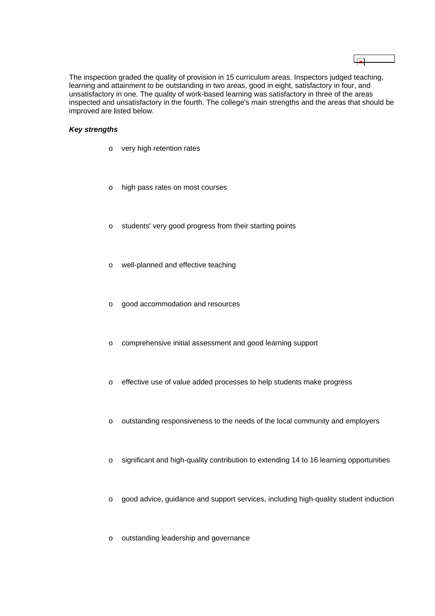The inspection graded the quality of provision in 15 curriculum areas. Inspectors judged teaching, learning and attainment to be outstanding in two areas, good in eight, satisfactory in four, and unsatisfactory in one. The quality of work-based learning was satisfactory in three of the areas inspected and unsatisfactory in the fourth. The college's main strengths and the areas that should be improved are listed below.

## *Key strengths*

- o very high retention rates
- o high pass rates on most courses
- o students' very good progress from their starting points
- o well-planned and effective teaching
- o good accommodation and resources
- o comprehensive initial assessment and good learning support
- o effective use of value added processes to help students make progress
- o outstanding responsiveness to the needs of the local community and employers
- o significant and high-quality contribution to extending 14 to 16 learning opportunities
- o good advice, guidance and support services, including high-quality student induction
- o outstanding leadership and governance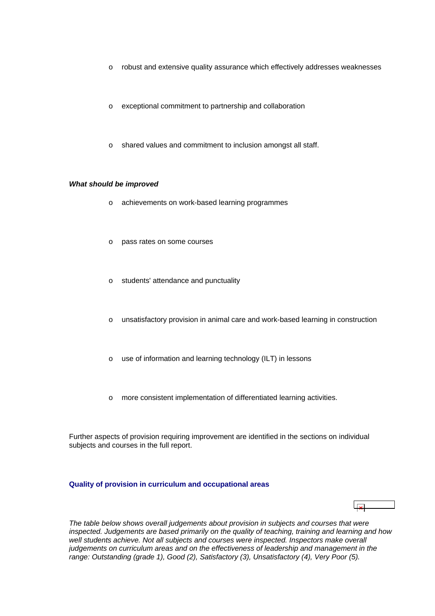- <span id="page-4-0"></span>o robust and extensive quality assurance which effectively addresses weaknesses
- o exceptional commitment to partnership and collaboration
- o shared values and commitment to inclusion amongst all staff.

## *What should be improved*

- o achievements on work-based learning programmes
- o pass rates on some courses
- o students' attendance and punctuality
- o unsatisfactory provision in animal care and work-based learning in construction
- o use of information and learning technology (ILT) in lessons
- o more consistent implementation of differentiated learning activities.

Further aspects of provision requiring improvement are identified in the sections on individual subjects and courses in the full report.

## **Quality of provision in curriculum and occupational areas**

*The table below shows overall judgements about provision in subjects and courses that were inspected. Judgements are based primarily on the quality of teaching, training and learning and how*  well students achieve. Not all subjects and courses were inspected. Inspectors make overall *judgements on curriculum areas and on the effectiveness of leadership and management in the range: Outstanding (grade 1), Good (2), Satisfactory (3), Unsatisfactory (4), Very Poor (5).*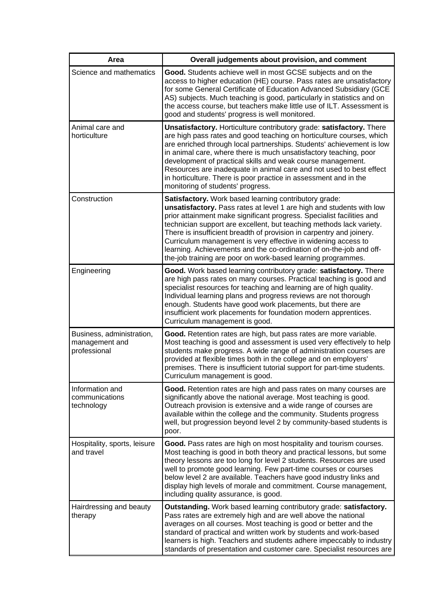| Area                                                        | Overall judgements about provision, and comment                                                                                                                                                                                                                                                                                                                                                                                                                                                                                                                |
|-------------------------------------------------------------|----------------------------------------------------------------------------------------------------------------------------------------------------------------------------------------------------------------------------------------------------------------------------------------------------------------------------------------------------------------------------------------------------------------------------------------------------------------------------------------------------------------------------------------------------------------|
| Science and mathematics                                     | Good. Students achieve well in most GCSE subjects and on the<br>access to higher education (HE) course. Pass rates are unsatisfactory<br>for some General Certificate of Education Advanced Subsidiary (GCE<br>AS) subjects. Much teaching is good, particularly in statistics and on<br>the access course, but teachers make little use of ILT. Assessment is<br>good and students' progress is well monitored.                                                                                                                                               |
| Animal care and<br>horticulture                             | Unsatisfactory. Horticulture contributory grade: satisfactory. There<br>are high pass rates and good teaching on horticulture courses, which<br>are enriched through local partnerships. Students' achievement is low<br>in animal care, where there is much unsatisfactory teaching, poor<br>development of practical skills and weak course management.<br>Resources are inadequate in animal care and not used to best effect<br>in horticulture. There is poor practice in assessment and in the<br>monitoring of students' progress.                      |
| Construction                                                | Satisfactory. Work based learning contributory grade:<br>unsatisfactory. Pass rates at level 1 are high and students with low<br>prior attainment make significant progress. Specialist facilities and<br>technician support are excellent, but teaching methods lack variety.<br>There is insufficient breadth of provision in carpentry and joinery.<br>Curriculum management is very effective in widening access to<br>learning. Achievements and the co-ordination of on-the-job and off-<br>the-job training are poor on work-based learning programmes. |
| Engineering                                                 | Good. Work based learning contributory grade: satisfactory. There<br>are high pass rates on many courses. Practical teaching is good and<br>specialist resources for teaching and learning are of high quality.<br>Individual learning plans and progress reviews are not thorough<br>enough. Students have good work placements, but there are<br>insufficient work placements for foundation modern apprentices.<br>Curriculum management is good.                                                                                                           |
| Business, administration,<br>management and<br>professional | Good. Retention rates are high, but pass rates are more variable.<br>Most teaching is good and assessment is used very effectively to help<br>students make progress. A wide range of administration courses are<br>provided at flexible times both in the college and on employers'<br>premises. There is insufficient tutorial support for part-time students.<br>Curriculum management is good.                                                                                                                                                             |
| Information and<br>communications<br>technology             | Good. Retention rates are high and pass rates on many courses are<br>significantly above the national average. Most teaching is good.<br>Outreach provision is extensive and a wide range of courses are<br>available within the college and the community. Students progress<br>well, but progression beyond level 2 by community-based students is<br>poor.                                                                                                                                                                                                  |
| Hospitality, sports, leisure<br>and travel                  | Good. Pass rates are high on most hospitality and tourism courses.<br>Most teaching is good in both theory and practical lessons, but some<br>theory lessons are too long for level 2 students. Resources are used<br>well to promote good learning. Few part-time courses or courses<br>below level 2 are available. Teachers have good industry links and<br>display high levels of morale and commitment. Course management,<br>including quality assurance, is good.                                                                                       |
| Hairdressing and beauty<br>therapy                          | Outstanding. Work based learning contributory grade: satisfactory.<br>Pass rates are extremely high and are well above the national<br>averages on all courses. Most teaching is good or better and the<br>standard of practical and written work by students and work-based<br>learners is high. Teachers and students adhere impeccably to industry<br>standards of presentation and customer care. Specialist resources are                                                                                                                                 |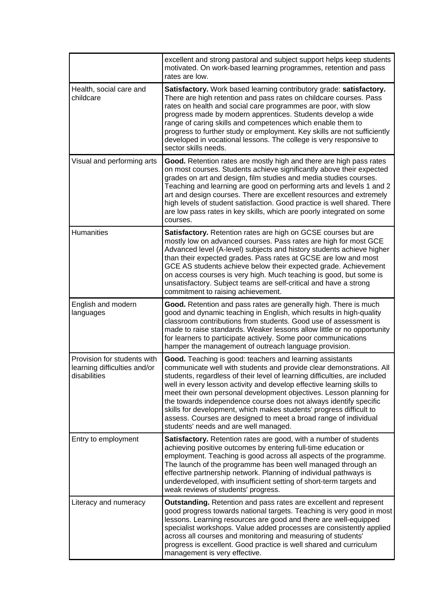|                                                                             | excellent and strong pastoral and subject support helps keep students<br>motivated. On work-based learning programmes, retention and pass<br>rates are low.                                                                                                                                                                                                                                                                                                                                                                                                                                                              |
|-----------------------------------------------------------------------------|--------------------------------------------------------------------------------------------------------------------------------------------------------------------------------------------------------------------------------------------------------------------------------------------------------------------------------------------------------------------------------------------------------------------------------------------------------------------------------------------------------------------------------------------------------------------------------------------------------------------------|
| Health, social care and<br>childcare                                        | Satisfactory. Work based learning contributory grade: satisfactory.<br>There are high retention and pass rates on childcare courses. Pass<br>rates on health and social care programmes are poor, with slow<br>progress made by modern apprentices. Students develop a wide<br>range of caring skills and competences which enable them to<br>progress to further study or employment. Key skills are not sufficiently<br>developed in vocational lessons. The college is very responsive to<br>sector skills needs.                                                                                                     |
| Visual and performing arts                                                  | Good. Retention rates are mostly high and there are high pass rates<br>on most courses. Students achieve significantly above their expected<br>grades on art and design, film studies and media studies courses.<br>Teaching and learning are good on performing arts and levels 1 and 2<br>art and design courses. There are excellent resources and extremely<br>high levels of student satisfaction. Good practice is well shared. There<br>are low pass rates in key skills, which are poorly integrated on some<br>courses.                                                                                         |
| <b>Humanities</b>                                                           | Satisfactory. Retention rates are high on GCSE courses but are<br>mostly low on advanced courses. Pass rates are high for most GCE<br>Advanced level (A-level) subjects and history students achieve higher<br>than their expected grades. Pass rates at GCSE are low and most<br>GCE AS students achieve below their expected grade. Achievement<br>on access courses is very high. Much teaching is good, but some is<br>unsatisfactory. Subject teams are self-critical and have a strong<br>commitment to raising achievement.                                                                                       |
| English and modern<br>languages                                             | Good. Retention and pass rates are generally high. There is much<br>good and dynamic teaching in English, which results in high-quality<br>classroom contributions from students. Good use of assessment is<br>made to raise standards. Weaker lessons allow little or no opportunity<br>for learners to participate actively. Some poor communications<br>hamper the management of outreach language provision.                                                                                                                                                                                                         |
| Provision for students with<br>learning difficulties and/or<br>disabilities | Good. Teaching is good: teachers and learning assistants<br>communicate well with students and provide clear demonstrations. All<br>students, regardless of their level of learning difficulties, are included<br>well in every lesson activity and develop effective learning skills to<br>meet their own personal development objectives. Lesson planning for<br>the towards independence course does not always identify specific<br>skills for development, which makes students' progress difficult to<br>assess. Courses are designed to meet a broad range of individual<br>students' needs and are well managed. |
| Entry to employment                                                         | Satisfactory. Retention rates are good, with a number of students<br>achieving positive outcomes by entering full-time education or<br>employment. Teaching is good across all aspects of the programme.<br>The launch of the programme has been well managed through an<br>effective partnership network. Planning of individual pathways is<br>underdeveloped, with insufficient setting of short-term targets and<br>weak reviews of students' progress.                                                                                                                                                              |
| Literacy and numeracy                                                       | <b>Outstanding.</b> Retention and pass rates are excellent and represent<br>good progress towards national targets. Teaching is very good in most<br>lessons. Learning resources are good and there are well-equipped<br>specialist workshops. Value added processes are consistently applied<br>across all courses and monitoring and measuring of students'<br>progress is excellent. Good practice is well shared and curriculum<br>management is very effective.                                                                                                                                                     |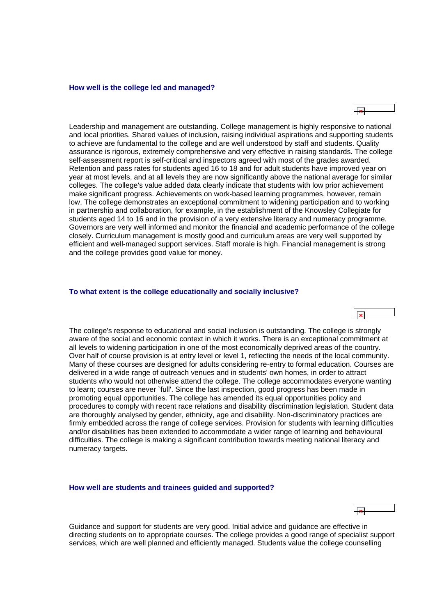#### <span id="page-7-0"></span>**How well is the college led and managed?**

احل

Leadership and management are outstanding. College management is highly responsive to national and local priorities. Shared values of inclusion, raising individual aspirations and supporting students to achieve are fundamental to the college and are well understood by staff and students. Quality assurance is rigorous, extremely comprehensive and very effective in raising standards. The college self-assessment report is self-critical and inspectors agreed with most of the grades awarded. Retention and pass rates for students aged 16 to 18 and for adult students have improved year on year at most levels, and at all levels they are now significantly above the national average for similar colleges. The college's value added data clearly indicate that students with low prior achievement make significant progress. Achievements on work-based learning programmes, however, remain low. The college demonstrates an exceptional commitment to widening participation and to working in partnership and collaboration, for example, in the establishment of the Knowsley Collegiate for students aged 14 to 16 and in the provision of a very extensive literacy and numeracy programme. Governors are very well informed and monitor the financial and academic performance of the college closely. Curriculum management is mostly good and curriculum areas are very well supported by efficient and well-managed support services. Staff morale is high. Financial management is strong and the college provides good value for money.

#### **To what extent is the college educationally and socially inclusive?**

The college's response to educational and social inclusion is outstanding. The college is strongly aware of the social and economic context in which it works. There is an exceptional commitment at all levels to widening participation in one of the most economically deprived areas of the country. Over half of course provision is at entry level or level 1, reflecting the needs of the local community. Many of these courses are designed for adults considering re-entry to formal education. Courses are delivered in a wide range of outreach venues and in students' own homes, in order to attract students who would not otherwise attend the college. The college accommodates everyone wanting to learn; courses are never `full'. Since the last inspection, good progress has been made in promoting equal opportunities. The college has amended its equal opportunities policy and procedures to comply with recent race relations and disability discrimination legislation. Student data are thoroughly analysed by gender, ethnicity, age and disability. Non-discriminatory practices are firmly embedded across the range of college services. Provision for students with learning difficulties and/or disabilities has been extended to accommodate a wider range of learning and behavioural difficulties. The college is making a significant contribution towards meeting national literacy and numeracy targets.

#### **How well are students and trainees guided and supported?**

Guidance and support for students are very good. Initial advice and guidance are effective in directing students on to appropriate courses. The college provides a good range of specialist support services, which are well planned and efficiently managed. Students value the college counselling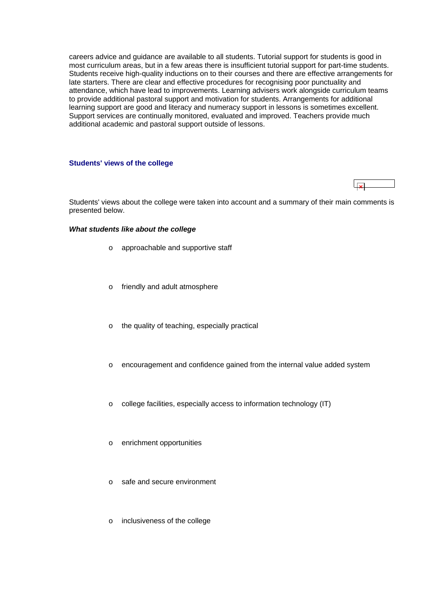<span id="page-8-0"></span>careers advice and guidance are available to all students. Tutorial support for students is good in most curriculum areas, but in a few areas there is insufficient tutorial support for part-time students. Students receive high-quality inductions on to their courses and there are effective arrangements for late starters. There are clear and effective procedures for recognising poor punctuality and attendance, which have lead to improvements. Learning advisers work alongside curriculum teams to provide additional pastoral support and motivation for students. Arrangements for additional learning support are good and literacy and numeracy support in lessons is sometimes excellent. Support services are continually monitored, evaluated and improved. Teachers provide much additional academic and pastoral support outside of lessons.

#### **Students' views of the college**

Students' views about the college were taken into account and a summary of their main comments is presented below.

#### *What students like about the college*

- o approachable and supportive staff
- o friendly and adult atmosphere
- o the quality of teaching, especially practical
- o encouragement and confidence gained from the internal value added system
- o college facilities, especially access to information technology (IT)
- o enrichment opportunities
- o safe and secure environment
- o inclusiveness of the college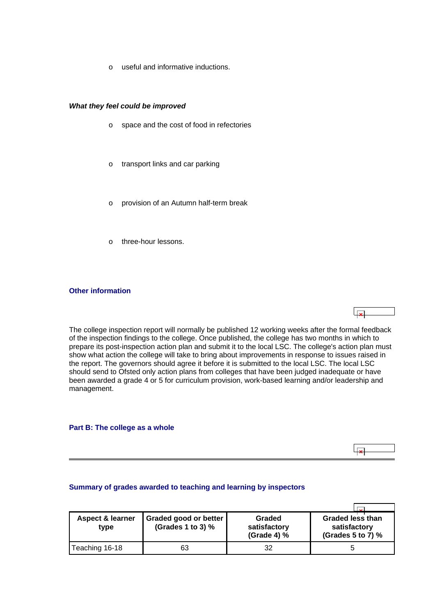o useful and informative inductions.

#### <span id="page-9-0"></span>*What they feel could be improved*

- o space and the cost of food in refectories
- o transport links and car parking
- o provision of an Autumn half-term break
- o three-hour lessons.

## **Other information**

The college inspection report will normally be published 12 working weeks after the formal feedback of the inspection findings to the college. Once published, the college has two months in which to prepare its post-inspection action plan and submit it to the local LSC. The college's action plan must show what action the college will take to bring about improvements in response to issues raised in the report. The governors should agree it before it is submitted to the local LSC. The local LSC should send to Ofsted only action plans from colleges that have been judged inadequate or have been awarded a grade 4 or 5 for curriculum provision, work-based learning and/or leadership and management.

#### **Part B: The college as a whole**



#### **Summary of grades awarded to teaching and learning by inspectors**

| <b>Aspect &amp; learner</b><br>tvpe | Graded good or better<br>(Grades 1 to 3) $%$ | Graded<br>satisfactory<br>(Grade 4) % | <b>Graded less than</b><br>satisfactory<br>(Grades 5 to 7) $%$ |
|-------------------------------------|----------------------------------------------|---------------------------------------|----------------------------------------------------------------|
| Teaching 16-18                      | 63                                           | 32                                    |                                                                |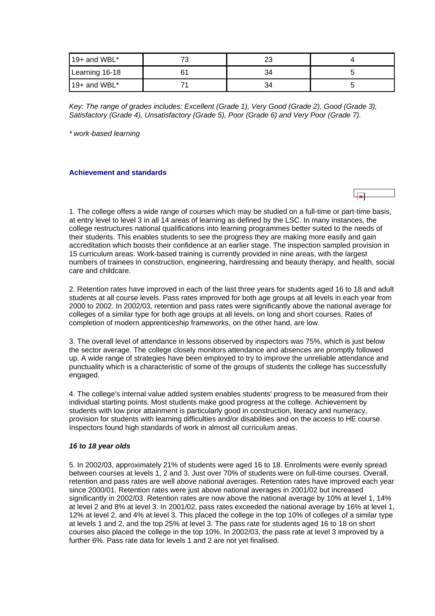<span id="page-10-0"></span>

| 19+ and WBL*   | . . |    |  |
|----------------|-----|----|--|
| Learning 16-18 | 61  |    |  |
| 19+ and WBL*   |     | 34 |  |

*Key: The range of grades includes: Excellent (Grade 1), Very Good (Grade 2), Good (Grade 3), Satisfactory (Grade 4), Unsatisfactory (Grade 5), Poor (Grade 6) and Very Poor (Grade 7).*

*\* work-based learning*

## **Achievement and standards**

1. The college offers a wide range of courses which may be studied on a full-time or part-time basis, at entry level to level 3 in all 14 areas of learning as defined by the LSC. In many instances, the college restructures national qualifications into learning programmes better suited to the needs of their students. This enables students to see the progress they are making more easily and gain accreditation which boosts their confidence at an earlier stage. The inspection sampled provision in 15 curriculum areas. Work-based training is currently provided in nine areas, with the largest numbers of trainees in construction, engineering, hairdressing and beauty therapy, and health, social care and childcare.

2. Retention rates have improved in each of the last three years for students aged 16 to 18 and adult students at all course levels. Pass rates improved for both age groups at all levels in each year from 2000 to 2002. In 2002/03, retention and pass rates were significantly above the national average for colleges of a similar type for both age groups at all levels, on long and short courses. Rates of completion of modern apprenticeship frameworks, on the other hand, are low.

3. The overall level of attendance in lessons observed by inspectors was 75%, which is just below the sector average. The college closely monitors attendance and absences are promptly followed up. A wide range of strategies have been employed to try to improve the unreliable attendance and punctuality which is a characteristic of some of the groups of students the college has successfully engaged.

4. The college's internal value added system enables students' progress to be measured from their individual starting points. Most students make good progress at the college. Achievement by students with low prior attainment is particularly good in construction, literacy and numeracy, provision for students with learning difficulties and/or disabilities and on the access to HE course. Inspectors found high standards of work in almost all curriculum areas.

#### *16 to 18 year olds*

5. In 2002/03, approximately 21% of students were aged 16 to 18. Enrolments were evenly spread between courses at levels 1, 2 and 3. Just over 70% of students were on full-time courses. Overall, retention and pass rates are well above national averages. Retention rates have improved each year since 2000/01. Retention rates were just above national averages in 2001/02 but increased significantly in 2002/03. Retention rates are now above the national average by 10% at level 1, 14% at level 2 and 8% at level 3. In 2001/02, pass rates exceeded the national average by 16% at level 1, 12% at level 2, and 4% at level 3. This placed the college in the top 10% of colleges of a similar type at levels 1 and 2, and the top 25% at level 3. The pass rate for students aged 16 to 18 on short courses also placed the college in the top 10%. In 2002/03, the pass rate at level 3 improved by a further 6%. Pass rate data for levels 1 and 2 are not yet finalised.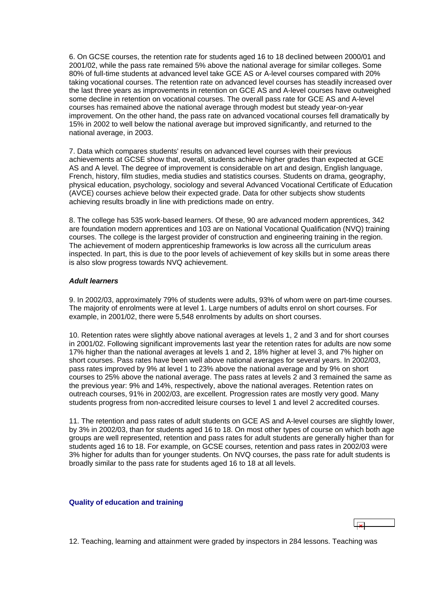<span id="page-11-0"></span>6. On GCSE courses, the retention rate for students aged 16 to 18 declined between 2000/01 and 2001/02, while the pass rate remained 5% above the national average for similar colleges. Some 80% of full-time students at advanced level take GCE AS or A-level courses compared with 20% taking vocational courses. The retention rate on advanced level courses has steadily increased over the last three years as improvements in retention on GCE AS and A-level courses have outweighed some decline in retention on vocational courses. The overall pass rate for GCE AS and A-level courses has remained above the national average through modest but steady year-on-year improvement. On the other hand, the pass rate on advanced vocational courses fell dramatically by 15% in 2002 to well below the national average but improved significantly, and returned to the national average, in 2003.

7. Data which compares students' results on advanced level courses with their previous achievements at GCSE show that, overall, students achieve higher grades than expected at GCE AS and A level. The degree of improvement is considerable on art and design, English language, French, history, film studies, media studies and statistics courses. Students on drama, geography, physical education, psychology, sociology and several Advanced Vocational Certificate of Education (AVCE) courses achieve below their expected grade. Data for other subjects show students achieving results broadly in line with predictions made on entry.

8. The college has 535 work-based learners. Of these, 90 are advanced modern apprentices, 342 are foundation modern apprentices and 103 are on National Vocational Qualification (NVQ) training courses. The college is the largest provider of construction and engineering training in the region. The achievement of modern apprenticeship frameworks is low across all the curriculum areas inspected. In part, this is due to the poor levels of achievement of key skills but in some areas there is also slow progress towards NVQ achievement.

## *Adult learners*

9. In 2002/03, approximately 79% of students were adults, 93% of whom were on part-time courses. The majority of enrolments were at level 1. Large numbers of adults enrol on short courses. For example, in 2001/02, there were 5,548 enrolments by adults on short courses.

10. Retention rates were slightly above national averages at levels 1, 2 and 3 and for short courses in 2001/02. Following significant improvements last year the retention rates for adults are now some 17% higher than the national averages at levels 1 and 2, 18% higher at level 3, and 7% higher on short courses. Pass rates have been well above national averages for several years. In 2002/03, pass rates improved by 9% at level 1 to 23% above the national average and by 9% on short courses to 25% above the national average. The pass rates at levels 2 and 3 remained the same as the previous year: 9% and 14%, respectively, above the national averages. Retention rates on outreach courses, 91% in 2002/03, are excellent. Progression rates are mostly very good. Many students progress from non-accredited leisure courses to level 1 and level 2 accredited courses.

11. The retention and pass rates of adult students on GCE AS and A-level courses are slightly lower, by 3% in 2002/03, than for students aged 16 to 18. On most other types of course on which both age groups are well represented, retention and pass rates for adult students are generally higher than for students aged 16 to 18. For example, on GCSE courses, retention and pass rates in 2002/03 were 3% higher for adults than for younger students. On NVQ courses, the pass rate for adult students is broadly similar to the pass rate for students aged 16 to 18 at all levels.

#### **Quality of education and training**



12. Teaching, learning and attainment were graded by inspectors in 284 lessons. Teaching was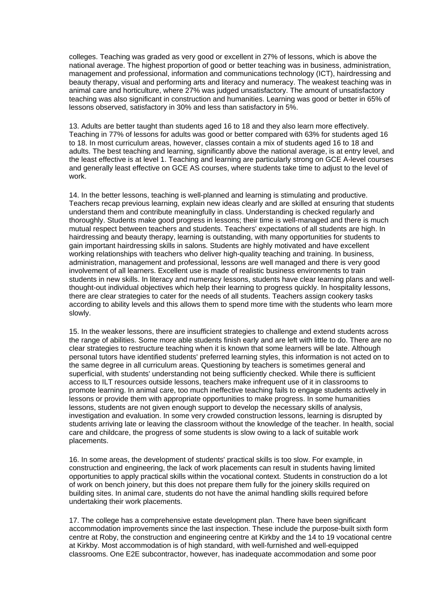colleges. Teaching was graded as very good or excellent in 27% of lessons, which is above the national average. The highest proportion of good or better teaching was in business, administration, management and professional, information and communications technology (ICT), hairdressing and beauty therapy, visual and performing arts and literacy and numeracy. The weakest teaching was in animal care and horticulture, where 27% was judged unsatisfactory. The amount of unsatisfactory teaching was also significant in construction and humanities. Learning was good or better in 65% of lessons observed, satisfactory in 30% and less than satisfactory in 5%.

13. Adults are better taught than students aged 16 to 18 and they also learn more effectively. Teaching in 77% of lessons for adults was good or better compared with 63% for students aged 16 to 18. In most curriculum areas, however, classes contain a mix of students aged 16 to 18 and adults. The best teaching and learning, significantly above the national average, is at entry level, and the least effective is at level 1. Teaching and learning are particularly strong on GCE A-level courses and generally least effective on GCE AS courses, where students take time to adjust to the level of work.

14. In the better lessons, teaching is well-planned and learning is stimulating and productive. Teachers recap previous learning, explain new ideas clearly and are skilled at ensuring that students understand them and contribute meaningfully in class. Understanding is checked regularly and thoroughly. Students make good progress in lessons; their time is well-managed and there is much mutual respect between teachers and students. Teachers' expectations of all students are high. In hairdressing and beauty therapy, learning is outstanding, with many opportunities for students to gain important hairdressing skills in salons. Students are highly motivated and have excellent working relationships with teachers who deliver high-quality teaching and training. In business, administration, management and professional, lessons are well managed and there is very good involvement of all learners. Excellent use is made of realistic business environments to train students in new skills. In literacy and numeracy lessons, students have clear learning plans and wellthought-out individual objectives which help their learning to progress quickly. In hospitality lessons, there are clear strategies to cater for the needs of all students. Teachers assign cookery tasks according to ability levels and this allows them to spend more time with the students who learn more slowly.

15. In the weaker lessons, there are insufficient strategies to challenge and extend students across the range of abilities. Some more able students finish early and are left with little to do. There are no clear strategies to restructure teaching when it is known that some learners will be late. Although personal tutors have identified students' preferred learning styles, this information is not acted on to the same degree in all curriculum areas. Questioning by teachers is sometimes general and superficial, with students' understanding not being sufficiently checked. While there is sufficient access to ILT resources outside lessons, teachers make infrequent use of it in classrooms to promote learning. In animal care, too much ineffective teaching fails to engage students actively in lessons or provide them with appropriate opportunities to make progress. In some humanities lessons, students are not given enough support to develop the necessary skills of analysis, investigation and evaluation. In some very crowded construction lessons, learning is disrupted by students arriving late or leaving the classroom without the knowledge of the teacher. In health, social care and childcare, the progress of some students is slow owing to a lack of suitable work placements.

16. In some areas, the development of students' practical skills is too slow. For example, in construction and engineering, the lack of work placements can result in students having limited opportunities to apply practical skills within the vocational context. Students in construction do a lot of work on bench joinery, but this does not prepare them fully for the joinery skills required on building sites. In animal care, students do not have the animal handling skills required before undertaking their work placements.

17. The college has a comprehensive estate development plan. There have been significant accommodation improvements since the last inspection. These include the purpose-built sixth form centre at Roby, the construction and engineering centre at Kirkby and the 14 to 19 vocational centre at Kirkby. Most accommodation is of high standard, with well-furnished and well-equipped classrooms. One E2E subcontractor, however, has inadequate accommodation and some poor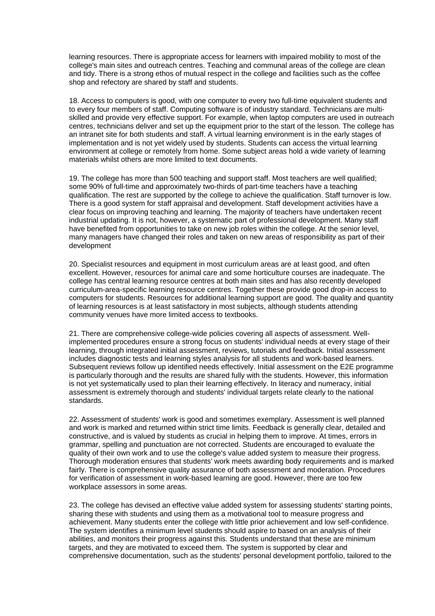learning resources. There is appropriate access for learners with impaired mobility to most of the college's main sites and outreach centres. Teaching and communal areas of the college are clean and tidy. There is a strong ethos of mutual respect in the college and facilities such as the coffee shop and refectory are shared by staff and students.

18. Access to computers is good, with one computer to every two full-time equivalent students and to every four members of staff. Computing software is of industry standard. Technicians are multiskilled and provide very effective support. For example, when laptop computers are used in outreach centres, technicians deliver and set up the equipment prior to the start of the lesson. The college has an intranet site for both students and staff. A virtual learning environment is in the early stages of implementation and is not yet widely used by students. Students can access the virtual learning environment at college or remotely from home. Some subject areas hold a wide variety of learning materials whilst others are more limited to text documents.

19. The college has more than 500 teaching and support staff. Most teachers are well qualified; some 90% of full-time and approximately two-thirds of part-time teachers have a teaching qualification. The rest are supported by the college to achieve the qualification. Staff turnover is low. There is a good system for staff appraisal and development. Staff development activities have a clear focus on improving teaching and learning. The majority of teachers have undertaken recent industrial updating. It is not, however, a systematic part of professional development. Many staff have benefited from opportunities to take on new job roles within the college. At the senior level, many managers have changed their roles and taken on new areas of responsibility as part of their development

20. Specialist resources and equipment in most curriculum areas are at least good, and often excellent. However, resources for animal care and some horticulture courses are inadequate. The college has central learning resource centres at both main sites and has also recently developed curriculum-area-specific learning resource centres. Together these provide good drop-in access to computers for students. Resources for additional learning support are good. The quality and quantity of learning resources is at least satisfactory in most subjects, although students attending community venues have more limited access to textbooks.

21. There are comprehensive college-wide policies covering all aspects of assessment. Wellimplemented procedures ensure a strong focus on students' individual needs at every stage of their learning, through integrated initial assessment, reviews, tutorials and feedback. Initial assessment includes diagnostic tests and learning styles analysis for all students and work-based learners. Subsequent reviews follow up identified needs effectively. Initial assessment on the E2E programme is particularly thorough and the results are shared fully with the students. However, this information is not yet systematically used to plan their learning effectively. In literacy and numeracy, initial assessment is extremely thorough and students' individual targets relate clearly to the national standards.

22. Assessment of students' work is good and sometimes exemplary. Assessment is well planned and work is marked and returned within strict time limits. Feedback is generally clear, detailed and constructive, and is valued by students as crucial in helping them to improve. At times, errors in grammar, spelling and punctuation are not corrected. Students are encouraged to evaluate the quality of their own work and to use the college's value added system to measure their progress. Thorough moderation ensures that students' work meets awarding body requirements and is marked fairly. There is comprehensive quality assurance of both assessment and moderation. Procedures for verification of assessment in work-based learning are good. However, there are too few workplace assessors in some areas.

23. The college has devised an effective value added system for assessing students' starting points, sharing these with students and using them as a motivational tool to measure progress and achievement. Many students enter the college with little prior achievement and low self-confidence. The system identifies a minimum level students should aspire to based on an analysis of their abilities, and monitors their progress against this. Students understand that these are minimum targets, and they are motivated to exceed them. The system is supported by clear and comprehensive documentation, such as the students' personal development portfolio, tailored to the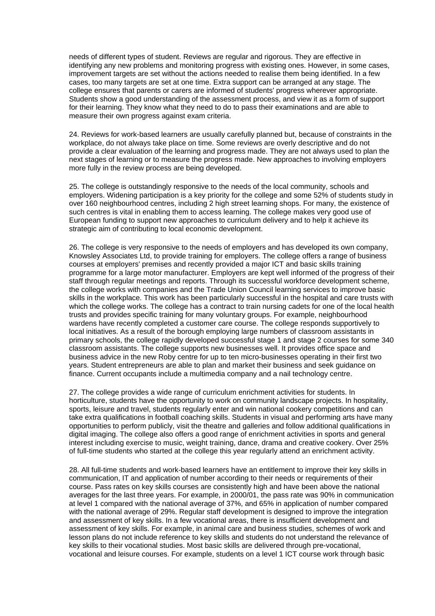needs of different types of student. Reviews are regular and rigorous. They are effective in identifying any new problems and monitoring progress with existing ones. However, in some cases, improvement targets are set without the actions needed to realise them being identified. In a few cases, too many targets are set at one time. Extra support can be arranged at any stage. The college ensures that parents or carers are informed of students' progress wherever appropriate. Students show a good understanding of the assessment process, and view it as a form of support for their learning. They know what they need to do to pass their examinations and are able to measure their own progress against exam criteria.

24. Reviews for work-based learners are usually carefully planned but, because of constraints in the workplace, do not always take place on time. Some reviews are overly descriptive and do not provide a clear evaluation of the learning and progress made. They are not always used to plan the next stages of learning or to measure the progress made. New approaches to involving employers more fully in the review process are being developed.

25. The college is outstandingly responsive to the needs of the local community, schools and employers. Widening participation is a key priority for the college and some 52% of students study in over 160 neighbourhood centres, including 2 high street learning shops. For many, the existence of such centres is vital in enabling them to access learning. The college makes very good use of European funding to support new approaches to curriculum delivery and to help it achieve its strategic aim of contributing to local economic development.

26. The college is very responsive to the needs of employers and has developed its own company, Knowsley Associates Ltd, to provide training for employers. The college offers a range of business courses at employers' premises and recently provided a major ICT and basic skills training programme for a large motor manufacturer. Employers are kept well informed of the progress of their staff through regular meetings and reports. Through its successful workforce development scheme, the college works with companies and the Trade Union Council learning services to improve basic skills in the workplace. This work has been particularly successful in the hospital and care trusts with which the college works. The college has a contract to train nursing cadets for one of the local health trusts and provides specific training for many voluntary groups. For example, neighbourhood wardens have recently completed a customer care course. The college responds supportively to local initiatives. As a result of the borough employing large numbers of classroom assistants in primary schools, the college rapidly developed successful stage 1 and stage 2 courses for some 340 classroom assistants. The college supports new businesses well. It provides office space and business advice in the new Roby centre for up to ten micro-businesses operating in their first two years. Student entrepreneurs are able to plan and market their business and seek guidance on finance. Current occupants include a multimedia company and a nail technology centre.

27. The college provides a wide range of curriculum enrichment activities for students. In horticulture, students have the opportunity to work on community landscape projects. In hospitality, sports, leisure and travel, students regularly enter and win national cookery competitions and can take extra qualifications in football coaching skills. Students in visual and performing arts have many opportunities to perform publicly, visit the theatre and galleries and follow additional qualifications in digital imaging. The college also offers a good range of enrichment activities in sports and general interest including exercise to music, weight training, dance, drama and creative cookery. Over 25% of full-time students who started at the college this year regularly attend an enrichment activity.

28. All full-time students and work-based learners have an entitlement to improve their key skills in communication, IT and application of number according to their needs or requirements of their course. Pass rates on key skills courses are consistently high and have been above the national averages for the last three years. For example, in 2000/01, the pass rate was 90% in communication at level 1 compared with the national average of 37%, and 65% in application of number compared with the national average of 29%. Regular staff development is designed to improve the integration and assessment of key skills. In a few vocational areas, there is insufficient development and assessment of key skills. For example, in animal care and business studies, schemes of work and lesson plans do not include reference to key skills and students do not understand the relevance of key skills to their vocational studies. Most basic skills are delivered through pre-vocational, vocational and leisure courses. For example, students on a level 1 ICT course work through basic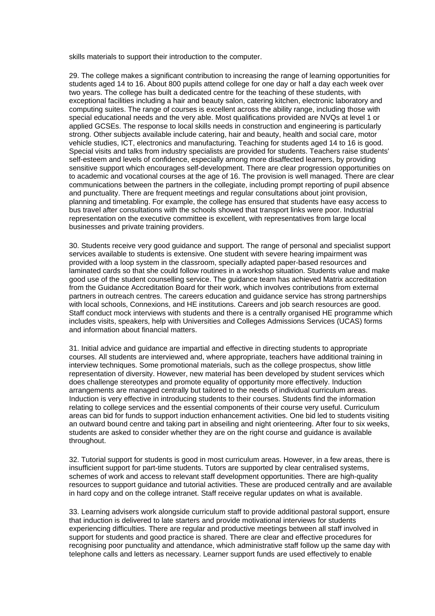skills materials to support their introduction to the computer.

29. The college makes a significant contribution to increasing the range of learning opportunities for students aged 14 to 16. About 800 pupils attend college for one day or half a day each week over two years. The college has built a dedicated centre for the teaching of these students, with exceptional facilities including a hair and beauty salon, catering kitchen, electronic laboratory and computing suites. The range of courses is excellent across the ability range, including those with special educational needs and the very able. Most qualifications provided are NVQs at level 1 or applied GCSEs. The response to local skills needs in construction and engineering is particularly strong. Other subjects available include catering, hair and beauty, health and social care, motor vehicle studies, ICT, electronics and manufacturing. Teaching for students aged 14 to 16 is good. Special visits and talks from industry specialists are provided for students. Teachers raise students' self-esteem and levels of confidence, especially among more disaffected learners, by providing sensitive support which encourages self-development. There are clear progression opportunities on to academic and vocational courses at the age of 16. The provision is well managed. There are clear communications between the partners in the collegiate, including prompt reporting of pupil absence and punctuality. There are frequent meetings and regular consultations about joint provision, planning and timetabling. For example, the college has ensured that students have easy access to bus travel after consultations with the schools showed that transport links were poor. Industrial representation on the executive committee is excellent, with representatives from large local businesses and private training providers.

30. Students receive very good guidance and support. The range of personal and specialist support services available to students is extensive. One student with severe hearing impairment was provided with a loop system in the classroom, specially adapted paper-based resources and laminated cards so that she could follow routines in a workshop situation. Students value and make good use of the student counselling service. The guidance team has achieved Matrix accreditation from the Guidance Accreditation Board for their work, which involves contributions from external partners in outreach centres. The careers education and guidance service has strong partnerships with local schools, Connexions, and HE institutions. Careers and job search resources are good. Staff conduct mock interviews with students and there is a centrally organised HE programme which includes visits, speakers, help with Universities and Colleges Admissions Services (UCAS) forms and information about financial matters.

31. Initial advice and guidance are impartial and effective in directing students to appropriate courses. All students are interviewed and, where appropriate, teachers have additional training in interview techniques. Some promotional materials, such as the college prospectus, show little representation of diversity. However, new material has been developed by student services which does challenge stereotypes and promote equality of opportunity more effectively. Induction arrangements are managed centrally but tailored to the needs of individual curriculum areas. Induction is very effective in introducing students to their courses. Students find the information relating to college services and the essential components of their course very useful. Curriculum areas can bid for funds to support induction enhancement activities. One bid led to students visiting an outward bound centre and taking part in abseiling and night orienteering. After four to six weeks, students are asked to consider whether they are on the right course and guidance is available throughout.

32. Tutorial support for students is good in most curriculum areas. However, in a few areas, there is insufficient support for part-time students. Tutors are supported by clear centralised systems, schemes of work and access to relevant staff development opportunities. There are high-quality resources to support guidance and tutorial activities. These are produced centrally and are available in hard copy and on the college intranet. Staff receive regular updates on what is available.

33. Learning advisers work alongside curriculum staff to provide additional pastoral support, ensure that induction is delivered to late starters and provide motivational interviews for students experiencing difficulties. There are regular and productive meetings between all staff involved in support for students and good practice is shared. There are clear and effective procedures for recognising poor punctuality and attendance, which administrative staff follow up the same day with telephone calls and letters as necessary. Learner support funds are used effectively to enable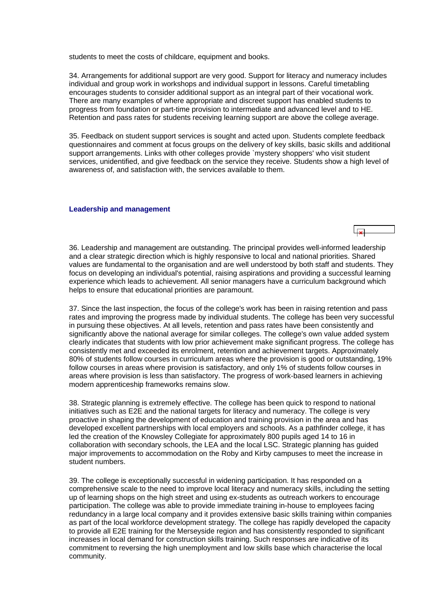<span id="page-16-0"></span>students to meet the costs of childcare, equipment and books.

34. Arrangements for additional support are very good. Support for literacy and numeracy includes individual and group work in workshops and individual support in lessons. Careful timetabling encourages students to consider additional support as an integral part of their vocational work. There are many examples of where appropriate and discreet support has enabled students to progress from foundation or part-time provision to intermediate and advanced level and to HE. Retention and pass rates for students receiving learning support are above the college average.

35. Feedback on student support services is sought and acted upon. Students complete feedback questionnaires and comment at focus groups on the delivery of key skills, basic skills and additional support arrangements. Links with other colleges provide `mystery shoppers' who visit student services, unidentified, and give feedback on the service they receive. Students show a high level of awareness of, and satisfaction with, the services available to them.

#### **Leadership and management**

36. Leadership and management are outstanding. The principal provides well-informed leadership and a clear strategic direction which is highly responsive to local and national priorities. Shared values are fundamental to the organisation and are well understood by both staff and students. They focus on developing an individual's potential, raising aspirations and providing a successful learning experience which leads to achievement. All senior managers have a curriculum background which helps to ensure that educational priorities are paramount.

37. Since the last inspection, the focus of the college's work has been in raising retention and pass rates and improving the progress made by individual students. The college has been very successful in pursuing these objectives. At all levels, retention and pass rates have been consistently and significantly above the national average for similar colleges. The college's own value added system clearly indicates that students with low prior achievement make significant progress. The college has consistently met and exceeded its enrolment, retention and achievement targets. Approximately 80% of students follow courses in curriculum areas where the provision is good or outstanding, 19% follow courses in areas where provision is satisfactory, and only 1% of students follow courses in areas where provision is less than satisfactory. The progress of work-based learners in achieving modern apprenticeship frameworks remains slow.

38. Strategic planning is extremely effective. The college has been quick to respond to national initiatives such as E2E and the national targets for literacy and numeracy. The college is very proactive in shaping the development of education and training provision in the area and has developed excellent partnerships with local employers and schools. As a pathfinder college, it has led the creation of the Knowsley Collegiate for approximately 800 pupils aged 14 to 16 in collaboration with secondary schools, the LEA and the local LSC. Strategic planning has guided major improvements to accommodation on the Roby and Kirby campuses to meet the increase in student numbers.

39. The college is exceptionally successful in widening participation. It has responded on a comprehensive scale to the need to improve local literacy and numeracy skills, including the setting up of learning shops on the high street and using ex-students as outreach workers to encourage participation. The college was able to provide immediate training in-house to employees facing redundancy in a large local company and it provides extensive basic skills training within companies as part of the local workforce development strategy. The college has rapidly developed the capacity to provide all E2E training for the Merseyside region and has consistently responded to significant increases in local demand for construction skills training. Such responses are indicative of its commitment to reversing the high unemployment and low skills base which characterise the local community.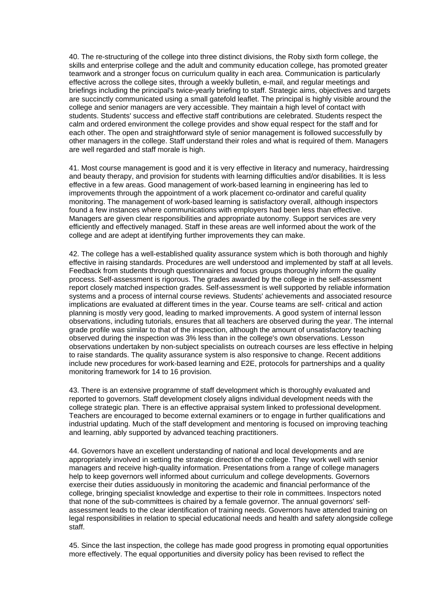40. The re-structuring of the college into three distinct divisions, the Roby sixth form college, the skills and enterprise college and the adult and community education college, has promoted greater teamwork and a stronger focus on curriculum quality in each area. Communication is particularly effective across the college sites, through a weekly bulletin, e-mail, and regular meetings and briefings including the principal's twice-yearly briefing to staff. Strategic aims, objectives and targets are succinctly communicated using a small gatefold leaflet. The principal is highly visible around the college and senior managers are very accessible. They maintain a high level of contact with students. Students' success and effective staff contributions are celebrated. Students respect the calm and ordered environment the college provides and show equal respect for the staff and for each other. The open and straightforward style of senior management is followed successfully by other managers in the college. Staff understand their roles and what is required of them. Managers are well regarded and staff morale is high.

41. Most course management is good and it is very effective in literacy and numeracy, hairdressing and beauty therapy, and provision for students with learning difficulties and/or disabilities. It is less effective in a few areas. Good management of work-based learning in engineering has led to improvements through the appointment of a work placement co-ordinator and careful quality monitoring. The management of work-based learning is satisfactory overall, although inspectors found a few instances where communications with employers had been less than effective. Managers are given clear responsibilities and appropriate autonomy. Support services are very efficiently and effectively managed. Staff in these areas are well informed about the work of the college and are adept at identifying further improvements they can make.

42. The college has a well-established quality assurance system which is both thorough and highly effective in raising standards. Procedures are well understood and implemented by staff at all levels. Feedback from students through questionnaires and focus groups thoroughly inform the quality process. Self-assessment is rigorous. The grades awarded by the college in the self-assessment report closely matched inspection grades. Self-assessment is well supported by reliable information systems and a process of internal course reviews. Students' achievements and associated resource implications are evaluated at different times in the year. Course teams are self- critical and action planning is mostly very good, leading to marked improvements. A good system of internal lesson observations, including tutorials, ensures that all teachers are observed during the year. The internal grade profile was similar to that of the inspection, although the amount of unsatisfactory teaching observed during the inspection was 3% less than in the college's own observations. Lesson observations undertaken by non-subject specialists on outreach courses are less effective in helping to raise standards. The quality assurance system is also responsive to change. Recent additions include new procedures for work-based learning and E2E, protocols for partnerships and a quality monitoring framework for 14 to 16 provision.

43. There is an extensive programme of staff development which is thoroughly evaluated and reported to governors. Staff development closely aligns individual development needs with the college strategic plan. There is an effective appraisal system linked to professional development. Teachers are encouraged to become external examiners or to engage in further qualifications and industrial updating. Much of the staff development and mentoring is focused on improving teaching and learning, ably supported by advanced teaching practitioners.

44. Governors have an excellent understanding of national and local developments and are appropriately involved in setting the strategic direction of the college. They work well with senior managers and receive high-quality information. Presentations from a range of college managers help to keep governors well informed about curriculum and college developments. Governors exercise their duties assiduously in monitoring the academic and financial performance of the college, bringing specialist knowledge and expertise to their role in committees. Inspectors noted that none of the sub-committees is chaired by a female governor. The annual governors' selfassessment leads to the clear identification of training needs. Governors have attended training on legal responsibilities in relation to special educational needs and health and safety alongside college staff.

45. Since the last inspection, the college has made good progress in promoting equal opportunities more effectively. The equal opportunities and diversity policy has been revised to reflect the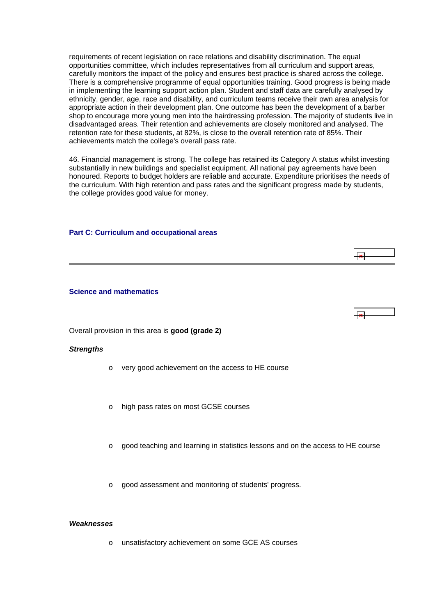<span id="page-18-0"></span>requirements of recent legislation on race relations and disability discrimination. The equal opportunities committee, which includes representatives from all curriculum and support areas, carefully monitors the impact of the policy and ensures best practice is shared across the college. There is a comprehensive programme of equal opportunities training. Good progress is being made in implementing the learning support action plan. Student and staff data are carefully analysed by ethnicity, gender, age, race and disability, and curriculum teams receive their own area analysis for appropriate action in their development plan. One outcome has been the development of a barber shop to encourage more young men into the hairdressing profession. The majority of students live in disadvantaged areas. Their retention and achievements are closely monitored and analysed. The retention rate for these students, at 82%, is close to the overall retention rate of 85%. Their achievements match the college's overall pass rate.

46. Financial management is strong. The college has retained its Category A status whilst investing substantially in new buildings and specialist equipment. All national pay agreements have been honoured. Reports to budget holders are reliable and accurate. Expenditure prioritises the needs of the curriculum. With high retention and pass rates and the significant progress made by students, the college provides good value for money.

 $\overline{1}$ 

#### **Part C: Curriculum and occupational areas**

#### **Science and mathematics**

Overall provision in this area is **good (grade 2)**

#### *Strengths*

- o very good achievement on the access to HE course
- o high pass rates on most GCSE courses
- o good teaching and learning in statistics lessons and on the access to HE course
- o good assessment and monitoring of students' progress.

#### *Weaknesses*

o unsatisfactory achievement on some GCE AS courses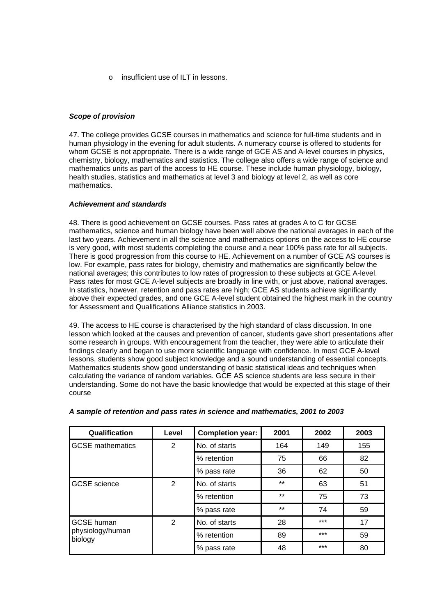o insufficient use of ILT in lessons.

## *Scope of provision*

47. The college provides GCSE courses in mathematics and science for full-time students and in human physiology in the evening for adult students. A numeracy course is offered to students for whom GCSE is not appropriate. There is a wide range of GCE AS and A-level courses in physics, chemistry, biology, mathematics and statistics. The college also offers a wide range of science and mathematics units as part of the access to HE course. These include human physiology, biology, health studies, statistics and mathematics at level 3 and biology at level 2, as well as core mathematics.

## *Achievement and standards*

48. There is good achievement on GCSE courses. Pass rates at grades A to C for GCSE mathematics, science and human biology have been well above the national averages in each of the last two years. Achievement in all the science and mathematics options on the access to HE course is very good, with most students completing the course and a near 100% pass rate for all subjects. There is good progression from this course to HE. Achievement on a number of GCE AS courses is low. For example, pass rates for biology, chemistry and mathematics are significantly below the national averages; this contributes to low rates of progression to these subjects at GCE A-level. Pass rates for most GCE A-level subjects are broadly in line with, or just above, national averages. In statistics, however, retention and pass rates are high; GCE AS students achieve significantly above their expected grades, and one GCE A-level student obtained the highest mark in the country for Assessment and Qualifications Alliance statistics in 2003.

49. The access to HE course is characterised by the high standard of class discussion. In one lesson which looked at the causes and prevention of cancer, students gave short presentations after some research in groups. With encouragement from the teacher, they were able to articulate their findings clearly and began to use more scientific language with confidence. In most GCE A-level lessons, students show good subject knowledge and a sound understanding of essential concepts. Mathematics students show good understanding of basic statistical ideas and techniques when calculating the variance of random variables. GCE AS science students are less secure in their understanding. Some do not have the basic knowledge that would be expected at this stage of their course

| Qualification               | Level | <b>Completion year:</b> | 2001  | 2002  | 2003 |
|-----------------------------|-------|-------------------------|-------|-------|------|
| <b>GCSE</b> mathematics     | 2     | No. of starts           | 164   | 149   | 155  |
|                             |       | % retention             | 75    | 66    | 82   |
|                             |       | % pass rate             | 36    | 62    | 50   |
| <b>GCSE</b> science         | 2     | No. of starts           | $***$ | 63    | 51   |
|                             |       | % retention             | $***$ | 75    | 73   |
|                             |       | % pass rate             | $***$ | 74    | 59   |
| <b>GCSE</b> human           | 2     | No. of starts           | 28    | $***$ | 17   |
| physiology/human<br>biology |       | % retention             | 89    | $***$ | 59   |
|                             |       | % pass rate             | 48    | $***$ | 80   |

#### *A sample of retention and pass rates in science and mathematics, 2001 to 2003*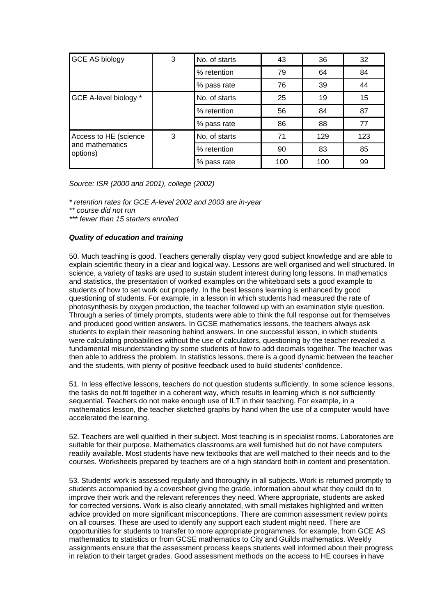| <b>GCE AS biology</b>                                | 3 | No. of starts | 43  | 36  | 32  |
|------------------------------------------------------|---|---------------|-----|-----|-----|
|                                                      |   | % retention   | 79  | 64  | 84  |
|                                                      |   | % pass rate   | 76  | 39  | 44  |
| GCE A-level biology *                                |   | No. of starts | 25  | 19  | 15  |
|                                                      |   | % retention   | 56  | 84  | 87  |
|                                                      |   | % pass rate   | 86  | 88  | 77  |
| Access to HE (science<br>and mathematics<br>options) | 3 | No. of starts | 71  | 129 | 123 |
|                                                      |   | % retention   | 90  | 83  | 85  |
|                                                      |   | % pass rate   | 100 | 100 | 99  |

*Source: ISR (2000 and 2001), college (2002)*

*\* retention rates for GCE A-level 2002 and 2003 are in-year* 

*\*\* course did not run* 

*\*\*\* fewer than 15 starters enrolled*

## *Quality of education and training*

50. Much teaching is good. Teachers generally display very good subject knowledge and are able to explain scientific theory in a clear and logical way. Lessons are well organised and well structured. In science, a variety of tasks are used to sustain student interest during long lessons. In mathematics and statistics, the presentation of worked examples on the whiteboard sets a good example to students of how to set work out properly. In the best lessons learning is enhanced by good questioning of students. For example, in a lesson in which students had measured the rate of photosynthesis by oxygen production, the teacher followed up with an examination style question. Through a series of timely prompts, students were able to think the full response out for themselves and produced good written answers. In GCSE mathematics lessons, the teachers always ask students to explain their reasoning behind answers. In one successful lesson, in which students were calculating probabilities without the use of calculators, questioning by the teacher revealed a fundamental misunderstanding by some students of how to add decimals together. The teacher was then able to address the problem. In statistics lessons, there is a good dynamic between the teacher and the students, with plenty of positive feedback used to build students' confidence.

51. In less effective lessons, teachers do not question students sufficiently. In some science lessons, the tasks do not fit together in a coherent way, which results in learning which is not sufficiently sequential. Teachers do not make enough use of ILT in their teaching. For example, in a mathematics lesson, the teacher sketched graphs by hand when the use of a computer would have accelerated the learning.

52. Teachers are well qualified in their subject. Most teaching is in specialist rooms. Laboratories are suitable for their purpose. Mathematics classrooms are well furnished but do not have computers readily available. Most students have new textbooks that are well matched to their needs and to the courses. Worksheets prepared by teachers are of a high standard both in content and presentation.

53. Students' work is assessed regularly and thoroughly in all subjects. Work is returned promptly to students accompanied by a coversheet giving the grade, information about what they could do to improve their work and the relevant references they need. Where appropriate, students are asked for corrected versions. Work is also clearly annotated, with small mistakes highlighted and written advice provided on more significant misconceptions. There are common assessment review points on all courses. These are used to identify any support each student might need. There are opportunities for students to transfer to more appropriate programmes, for example, from GCE AS mathematics to statistics or from GCSE mathematics to City and Guilds mathematics. Weekly assignments ensure that the assessment process keeps students well informed about their progress in relation to their target grades. Good assessment methods on the access to HE courses in have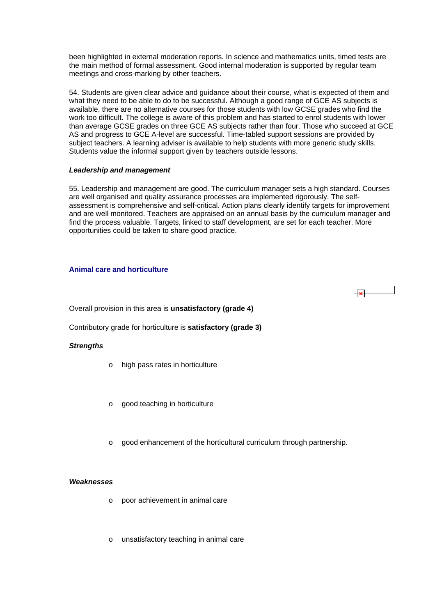<span id="page-21-0"></span>been highlighted in external moderation reports. In science and mathematics units, timed tests are the main method of formal assessment. Good internal moderation is supported by regular team meetings and cross-marking by other teachers.

54. Students are given clear advice and guidance about their course, what is expected of them and what they need to be able to do to be successful. Although a good range of GCE AS subjects is available, there are no alternative courses for those students with low GCSE grades who find the work too difficult. The college is aware of this problem and has started to enrol students with lower than average GCSE grades on three GCE AS subjects rather than four. Those who succeed at GCE AS and progress to GCE A-level are successful. Time-tabled support sessions are provided by subject teachers. A learning adviser is available to help students with more generic study skills. Students value the informal support given by teachers outside lessons.

#### *Leadership and management*

55. Leadership and management are good. The curriculum manager sets a high standard. Courses are well organised and quality assurance processes are implemented rigorously. The selfassessment is comprehensive and self-critical. Action plans clearly identify targets for improvement and are well monitored. Teachers are appraised on an annual basis by the curriculum manager and find the process valuable. Targets, linked to staff development, are set for each teacher. More opportunities could be taken to share good practice.

## **Animal care and horticulture**

Overall provision in this area is **unsatisfactory (grade 4)**

Contributory grade for horticulture is **satisfactory (grade 3)**

## *Strengths*

- o high pass rates in horticulture
- o good teaching in horticulture
- good enhancement of the horticultural curriculum through partnership.

#### *Weaknesses*

- o poor achievement in animal care
- unsatisfactory teaching in animal care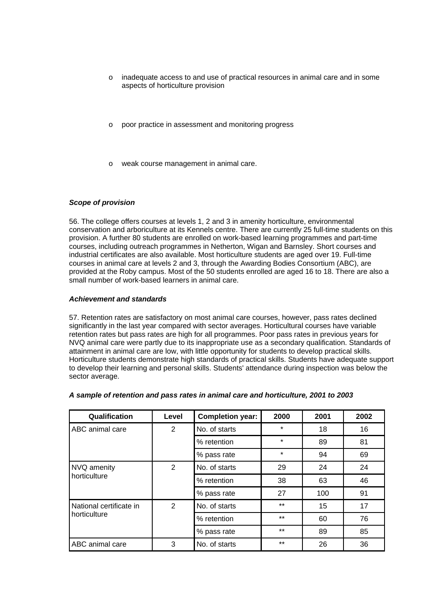- o inadequate access to and use of practical resources in animal care and in some aspects of horticulture provision
- o poor practice in assessment and monitoring progress
- weak course management in animal care.

## *Scope of provision*

56. The college offers courses at levels 1, 2 and 3 in amenity horticulture, environmental conservation and arboriculture at its Kennels centre. There are currently 25 full-time students on this provision. A further 80 students are enrolled on work-based learning programmes and part-time courses, including outreach programmes in Netherton, Wigan and Barnsley. Short courses and industrial certificates are also available. Most horticulture students are aged over 19. Full-time courses in animal care at levels 2 and 3, through the Awarding Bodies Consortium (ABC), are provided at the Roby campus. Most of the 50 students enrolled are aged 16 to 18. There are also a small number of work-based learners in animal care.

## *Achievement and standards*

57. Retention rates are satisfactory on most animal care courses, however, pass rates declined significantly in the last year compared with sector averages. Horticultural courses have variable retention rates but pass rates are high for all programmes. Poor pass rates in previous years for NVQ animal care were partly due to its inappropriate use as a secondary qualification. Standards of attainment in animal care are low, with little opportunity for students to develop practical skills. Horticulture students demonstrate high standards of practical skills. Students have adequate support to develop their learning and personal skills. Students' attendance during inspection was below the sector average.

| Qualification           | Level | <b>Completion year:</b> | 2000    | 2001 | 2002 |
|-------------------------|-------|-------------------------|---------|------|------|
| <b>ABC</b> animal care  | 2     | No. of starts           | $\star$ | 18   | 16   |
|                         |       | % retention             | $\star$ | 89   | 81   |
|                         |       | % pass rate             | $\star$ | 94   | 69   |
| NVQ amenity             | 2     | No. of starts           | 29      | 24   | 24   |
| <b>horticulture</b>     |       | % retention             | 38      | 63   | 46   |
|                         |       | % pass rate             | 27      | 100  | 91   |
| National certificate in | 2     | No. of starts           | $***$   | 15   | 17   |
| horticulture            |       | % retention             | $***$   | 60   | 76   |
|                         |       | % pass rate             | $***$   | 89   | 85   |
| ABC animal care         | 3     | No. of starts           | $***$   | 26   | 36   |

#### *A sample of retention and pass rates in animal care and horticulture, 2001 to 2003*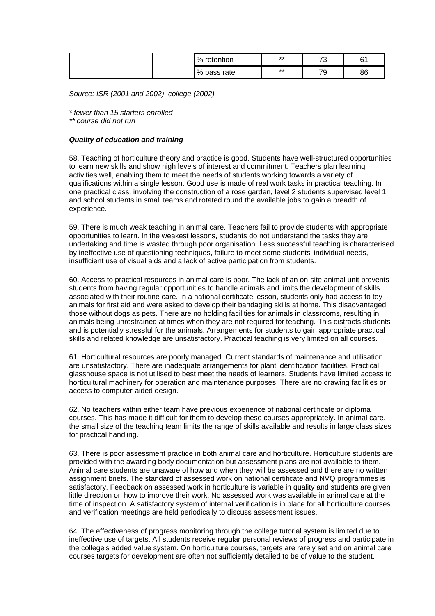| $\%$<br>retention | $***$ | $\overline{\phantom{a}}$<br>J | ົ<br>ັ'  |
|-------------------|-------|-------------------------------|----------|
| % pass rate       | $***$ | --<br>৺                       | ۵۵<br>oo |

*Source: ISR (2001 and 2002), college (2002)*

*\* fewer than 15 starters enrolled* 

*\*\* course did not run*

#### *Quality of education and training*

58. Teaching of horticulture theory and practice is good. Students have well-structured opportunities to learn new skills and show high levels of interest and commitment. Teachers plan learning activities well, enabling them to meet the needs of students working towards a variety of qualifications within a single lesson. Good use is made of real work tasks in practical teaching. In one practical class, involving the construction of a rose garden, level 2 students supervised level 1 and school students in small teams and rotated round the available jobs to gain a breadth of experience.

59. There is much weak teaching in animal care. Teachers fail to provide students with appropriate opportunities to learn. In the weakest lessons, students do not understand the tasks they are undertaking and time is wasted through poor organisation. Less successful teaching is characterised by ineffective use of questioning techniques, failure to meet some students' individual needs, insufficient use of visual aids and a lack of active participation from students.

60. Access to practical resources in animal care is poor. The lack of an on-site animal unit prevents students from having regular opportunities to handle animals and limits the development of skills associated with their routine care. In a national certificate lesson, students only had access to toy animals for first aid and were asked to develop their bandaging skills at home. This disadvantaged those without dogs as pets. There are no holding facilities for animals in classrooms, resulting in animals being unrestrained at times when they are not required for teaching. This distracts students and is potentially stressful for the animals. Arrangements for students to gain appropriate practical skills and related knowledge are unsatisfactory. Practical teaching is very limited on all courses.

61. Horticultural resources are poorly managed. Current standards of maintenance and utilisation are unsatisfactory. There are inadequate arrangements for plant identification facilities. Practical glasshouse space is not utilised to best meet the needs of learners. Students have limited access to horticultural machinery for operation and maintenance purposes. There are no drawing facilities or access to computer-aided design.

62. No teachers within either team have previous experience of national certificate or diploma courses. This has made it difficult for them to develop these courses appropriately. In animal care, the small size of the teaching team limits the range of skills available and results in large class sizes for practical handling.

63. There is poor assessment practice in both animal care and horticulture. Horticulture students are provided with the awarding body documentation but assessment plans are not available to them. Animal care students are unaware of how and when they will be assessed and there are no written assignment briefs. The standard of assessed work on national certificate and NVQ programmes is satisfactory. Feedback on assessed work in horticulture is variable in quality and students are given little direction on how to improve their work. No assessed work was available in animal care at the time of inspection. A satisfactory system of internal verification is in place for all horticulture courses and verification meetings are held periodically to discuss assessment issues.

64. The effectiveness of progress monitoring through the college tutorial system is limited due to ineffective use of targets. All students receive regular personal reviews of progress and participate in the college's added value system. On horticulture courses, targets are rarely set and on animal care courses targets for development are often not sufficiently detailed to be of value to the student.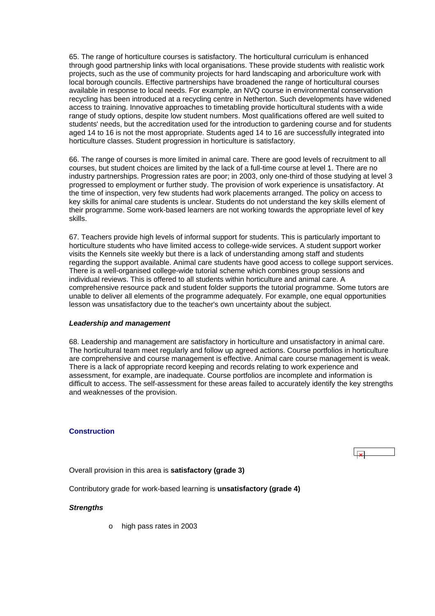<span id="page-24-0"></span>65. The range of horticulture courses is satisfactory. The horticultural curriculum is enhanced through good partnership links with local organisations. These provide students with realistic work projects, such as the use of community projects for hard landscaping and arboriculture work with local borough councils. Effective partnerships have broadened the range of horticultural courses available in response to local needs. For example, an NVQ course in environmental conservation recycling has been introduced at a recycling centre in Netherton. Such developments have widened access to training. Innovative approaches to timetabling provide horticultural students with a wide range of study options, despite low student numbers. Most qualifications offered are well suited to students' needs, but the accreditation used for the introduction to gardening course and for students aged 14 to 16 is not the most appropriate. Students aged 14 to 16 are successfully integrated into horticulture classes. Student progression in horticulture is satisfactory.

66. The range of courses is more limited in animal care. There are good levels of recruitment to all courses, but student choices are limited by the lack of a full-time course at level 1. There are no industry partnerships. Progression rates are poor; in 2003, only one-third of those studying at level 3 progressed to employment or further study. The provision of work experience is unsatisfactory. At the time of inspection, very few students had work placements arranged. The policy on access to key skills for animal care students is unclear. Students do not understand the key skills element of their programme. Some work-based learners are not working towards the appropriate level of key skills.

67. Teachers provide high levels of informal support for students. This is particularly important to horticulture students who have limited access to college-wide services. A student support worker visits the Kennels site weekly but there is a lack of understanding among staff and students regarding the support available. Animal care students have good access to college support services. There is a well-organised college-wide tutorial scheme which combines group sessions and individual reviews. This is offered to all students within horticulture and animal care. A comprehensive resource pack and student folder supports the tutorial programme. Some tutors are unable to deliver all elements of the programme adequately. For example, one equal opportunities lesson was unsatisfactory due to the teacher's own uncertainty about the subject.

#### *Leadership and management*

68. Leadership and management are satisfactory in horticulture and unsatisfactory in animal care. The horticultural team meet regularly and follow up agreed actions. Course portfolios in horticulture are comprehensive and course management is effective. Animal care course management is weak. There is a lack of appropriate record keeping and records relating to work experience and assessment, for example, are inadequate. Course portfolios are incomplete and information is difficult to access. The self-assessment for these areas failed to accurately identify the key strengths and weaknesses of the provision.

## **Construction**

Overall provision in this area is **satisfactory (grade 3)**

Contributory grade for work-based learning is **unsatisfactory (grade 4)**

#### *Strengths*

o high pass rates in 2003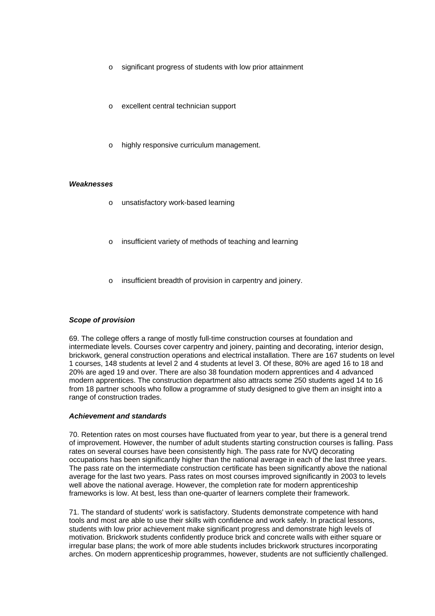- o significant progress of students with low prior attainment
- excellent central technician support
- highly responsive curriculum management.

#### *Weaknesses*

- o unsatisfactory work-based learning
- insufficient variety of methods of teaching and learning
- insufficient breadth of provision in carpentry and joinery.

## *Scope of provision*

69. The college offers a range of mostly full-time construction courses at foundation and intermediate levels. Courses cover carpentry and joinery, painting and decorating, interior design, brickwork, general construction operations and electrical installation. There are 167 students on level 1 courses, 148 students at level 2 and 4 students at level 3. Of these, 80% are aged 16 to 18 and 20% are aged 19 and over. There are also 38 foundation modern apprentices and 4 advanced modern apprentices. The construction department also attracts some 250 students aged 14 to 16 from 18 partner schools who follow a programme of study designed to give them an insight into a range of construction trades.

#### *Achievement and standards*

70. Retention rates on most courses have fluctuated from year to year, but there is a general trend of improvement. However, the number of adult students starting construction courses is falling. Pass rates on several courses have been consistently high. The pass rate for NVQ decorating occupations has been significantly higher than the national average in each of the last three years. The pass rate on the intermediate construction certificate has been significantly above the national average for the last two years. Pass rates on most courses improved significantly in 2003 to levels well above the national average. However, the completion rate for modern apprenticeship frameworks is low. At best, less than one-quarter of learners complete their framework.

71. The standard of students' work is satisfactory. Students demonstrate competence with hand tools and most are able to use their skills with confidence and work safely. In practical lessons, students with low prior achievement make significant progress and demonstrate high levels of motivation. Brickwork students confidently produce brick and concrete walls with either square or irregular base plans; the work of more able students includes brickwork structures incorporating arches. On modern apprenticeship programmes, however, students are not sufficiently challenged.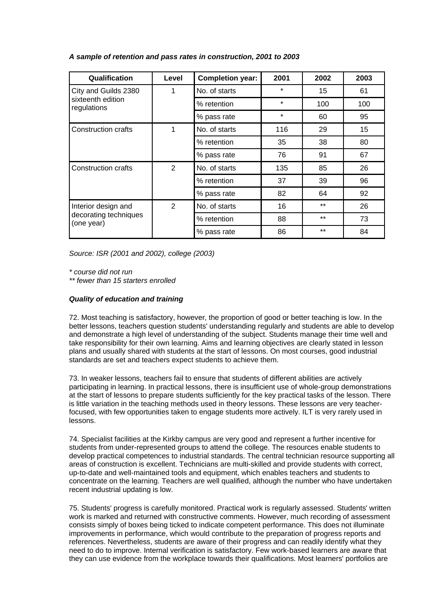## *A sample of retention and pass rates in construction, 2001 to 2003*

| Qualification                       | Level          | <b>Completion year:</b> | 2001    | 2002  | 2003 |
|-------------------------------------|----------------|-------------------------|---------|-------|------|
| City and Guilds 2380                | 1              | No. of starts           | $\star$ | 15    | 61   |
| sixteenth edition<br>regulations    |                | % retention             | $\star$ | 100   | 100  |
|                                     |                | % pass rate             | $\star$ | 60    | 95   |
| <b>Construction crafts</b>          | 1              | No. of starts           | 116     | 29    | 15   |
|                                     |                | % retention             | 35      | 38    | 80   |
|                                     |                | % pass rate             | 76      | 91    | 67   |
| <b>Construction crafts</b>          | $\overline{2}$ | No. of starts           | 135     | 85    | 26   |
|                                     |                | % retention             | 37      | 39    | 96   |
|                                     |                | % pass rate             | 82      | 64    | 92   |
| Interior design and                 | 2              | No. of starts           | 16      | $***$ | 26   |
| decorating techniques<br>(one year) |                | % retention             | 88      | $***$ | 73   |
|                                     |                | % pass rate             | 86      | $***$ | 84   |

*Source: ISR (2001 and 2002), college (2003)*

*\* course did not run* 

*\*\* fewer than 15 starters enrolled*

## *Quality of education and training*

72. Most teaching is satisfactory, however, the proportion of good or better teaching is low. In the better lessons, teachers question students' understanding regularly and students are able to develop and demonstrate a high level of understanding of the subject. Students manage their time well and take responsibility for their own learning. Aims and learning objectives are clearly stated in lesson plans and usually shared with students at the start of lessons. On most courses, good industrial standards are set and teachers expect students to achieve them.

73. In weaker lessons, teachers fail to ensure that students of different abilities are actively participating in learning. In practical lessons, there is insufficient use of whole-group demonstrations at the start of lessons to prepare students sufficiently for the key practical tasks of the lesson. There is little variation in the teaching methods used in theory lessons. These lessons are very teacherfocused, with few opportunities taken to engage students more actively. ILT is very rarely used in lessons.

74. Specialist facilities at the Kirkby campus are very good and represent a further incentive for students from under-represented groups to attend the college. The resources enable students to develop practical competences to industrial standards. The central technician resource supporting all areas of construction is excellent. Technicians are multi-skilled and provide students with correct, up-to-date and well-maintained tools and equipment, which enables teachers and students to concentrate on the learning. Teachers are well qualified, although the number who have undertaken recent industrial updating is low.

75. Students' progress is carefully monitored. Practical work is regularly assessed. Students' written work is marked and returned with constructive comments. However, much recording of assessment consists simply of boxes being ticked to indicate competent performance. This does not illuminate improvements in performance, which would contribute to the preparation of progress reports and references. Nevertheless, students are aware of their progress and can readily identify what they need to do to improve. Internal verification is satisfactory. Few work-based learners are aware that they can use evidence from the workplace towards their qualifications. Most learners' portfolios are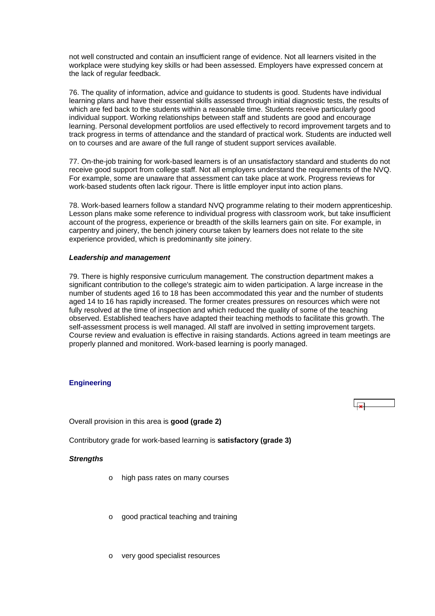<span id="page-27-0"></span>not well constructed and contain an insufficient range of evidence. Not all learners visited in the workplace were studying key skills or had been assessed. Employers have expressed concern at the lack of regular feedback.

76. The quality of information, advice and guidance to students is good. Students have individual learning plans and have their essential skills assessed through initial diagnostic tests, the results of which are fed back to the students within a reasonable time. Students receive particularly good individual support. Working relationships between staff and students are good and encourage learning. Personal development portfolios are used effectively to record improvement targets and to track progress in terms of attendance and the standard of practical work. Students are inducted well on to courses and are aware of the full range of student support services available.

77. On-the-job training for work-based learners is of an unsatisfactory standard and students do not receive good support from college staff. Not all employers understand the requirements of the NVQ. For example, some are unaware that assessment can take place at work. Progress reviews for work-based students often lack rigour. There is little employer input into action plans.

78. Work-based learners follow a standard NVQ programme relating to their modern apprenticeship. Lesson plans make some reference to individual progress with classroom work, but take insufficient account of the progress, experience or breadth of the skills learners gain on site. For example, in carpentry and joinery, the bench joinery course taken by learners does not relate to the site experience provided, which is predominantly site joinery.

## *Leadership and management*

79. There is highly responsive curriculum management. The construction department makes a significant contribution to the college's strategic aim to widen participation. A large increase in the number of students aged 16 to 18 has been accommodated this year and the number of students aged 14 to 16 has rapidly increased. The former creates pressures on resources which were not fully resolved at the time of inspection and which reduced the quality of some of the teaching observed. Established teachers have adapted their teaching methods to facilitate this growth. The self-assessment process is well managed. All staff are involved in setting improvement targets. Course review and evaluation is effective in raising standards. Actions agreed in team meetings are properly planned and monitored. Work-based learning is poorly managed.

## **Engineering**

 $\overline{\mathbf{r}}$ 

Overall provision in this area is **good (grade 2)**

Contributory grade for work-based learning is **satisfactory (grade 3)** 

#### *Strengths*

- o high pass rates on many courses
- o good practical teaching and training
- very good specialist resources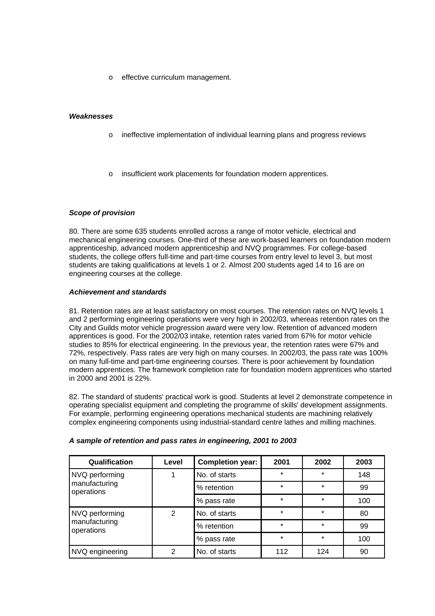o effective curriculum management.

## *Weaknesses*

- o ineffective implementation of individual learning plans and progress reviews
- o insufficient work placements for foundation modern apprentices.

## *Scope of provision*

80. There are some 635 students enrolled across a range of motor vehicle, electrical and mechanical engineering courses. One-third of these are work-based learners on foundation modern apprenticeship, advanced modern apprenticeship and NVQ programmes. For college-based students, the college offers full-time and part-time courses from entry level to level 3, but most students are taking qualifications at levels 1 or 2. Almost 200 students aged 14 to 16 are on engineering courses at the college.

## *Achievement and standards*

81. Retention rates are at least satisfactory on most courses. The retention rates on NVQ levels 1 and 2 performing engineering operations were very high in 2002/03, whereas retention rates on the City and Guilds motor vehicle progression award were very low. Retention of advanced modern apprentices is good. For the 2002/03 intake, retention rates varied from 67% for motor vehicle studies to 85% for electrical engineering. In the previous year, the retention rates were 67% and 72%, respectively. Pass rates are very high on many courses. In 2002/03, the pass rate was 100% on many full-time and part-time engineering courses. There is poor achievement by foundation modern apprentices. The framework completion rate for foundation modern apprentices who started in 2000 and 2001 is 22%.

82. The standard of students' practical work is good. Students at level 2 demonstrate competence in operating specialist equipment and completing the programme of skills' development assignments. For example, performing engineering operations mechanical students are machining relatively complex engineering components using industrial-standard centre lathes and milling machines.

| Qualification                                 | Level | <b>Completion year:</b> | 2001    | 2002    | 2003 |
|-----------------------------------------------|-------|-------------------------|---------|---------|------|
| NVQ performing<br>manufacturing<br>operations |       | No. of starts           | $\star$ | $\star$ | 148  |
|                                               |       | % retention             | $\star$ | $\star$ | 99   |
|                                               |       | % pass rate             | $\star$ | $\star$ | 100  |
| NVQ performing                                | 2     | No. of starts           | $\star$ | *       | 80   |
| manufacturing<br>operations                   |       | % retention             | $\star$ | $\star$ | 99   |
|                                               |       | % pass rate             | $\star$ | $\star$ | 100  |
| NVQ engineering                               | 2     | No. of starts           | 112     | 124     | 90   |

#### *A sample of retention and pass rates in engineering, 2001 to 2003*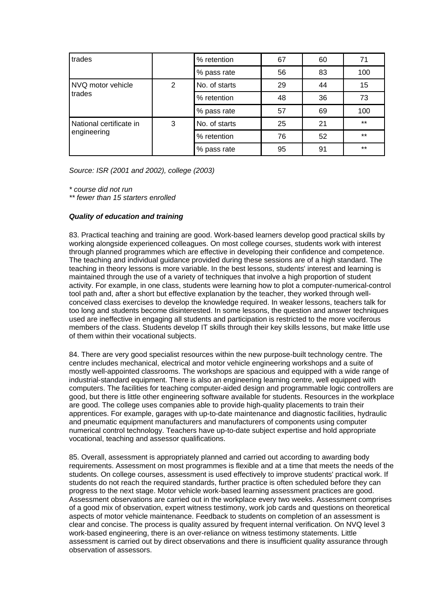| trades                  |   | % retention   | 67 | 60 | 71    |
|-------------------------|---|---------------|----|----|-------|
|                         |   | % pass rate   | 56 | 83 | 100   |
| NVQ motor vehicle       | 2 | No. of starts | 29 | 44 | 15    |
| trades                  |   | % retention   | 48 | 36 | 73    |
|                         |   | % pass rate   | 57 | 69 | 100   |
| National certificate in | 3 | No. of starts | 25 | 21 | $***$ |
| engineering             |   | % retention   | 76 | 52 | $***$ |
|                         |   | % pass rate   | 95 | 91 | $***$ |

*Source: ISR (2001 and 2002), college (2003)*

*\* course did not run* 

*\*\* fewer than 15 starters enrolled*

## *Quality of education and training*

83. Practical teaching and training are good. Work-based learners develop good practical skills by working alongside experienced colleagues. On most college courses, students work with interest through planned programmes which are effective in developing their confidence and competence. The teaching and individual guidance provided during these sessions are of a high standard. The teaching in theory lessons is more variable. In the best lessons, students' interest and learning is maintained through the use of a variety of techniques that involve a high proportion of student activity. For example, in one class, students were learning how to plot a computer-numerical-control tool path and, after a short but effective explanation by the teacher, they worked through wellconceived class exercises to develop the knowledge required. In weaker lessons, teachers talk for too long and students become disinterested. In some lessons, the question and answer techniques used are ineffective in engaging all students and participation is restricted to the more vociferous members of the class. Students develop IT skills through their key skills lessons, but make little use of them within their vocational subjects.

84. There are very good specialist resources within the new purpose-built technology centre. The centre includes mechanical, electrical and motor vehicle engineering workshops and a suite of mostly well-appointed classrooms. The workshops are spacious and equipped with a wide range of industrial-standard equipment. There is also an engineering learning centre, well equipped with computers. The facilities for teaching computer-aided design and programmable logic controllers are good, but there is little other engineering software available for students. Resources in the workplace are good. The college uses companies able to provide high-quality placements to train their apprentices. For example, garages with up-to-date maintenance and diagnostic facilities, hydraulic and pneumatic equipment manufacturers and manufacturers of components using computer numerical control technology. Teachers have up-to-date subject expertise and hold appropriate vocational, teaching and assessor qualifications.

85. Overall, assessment is appropriately planned and carried out according to awarding body requirements. Assessment on most programmes is flexible and at a time that meets the needs of the students. On college courses, assessment is used effectively to improve students' practical work. If students do not reach the required standards, further practice is often scheduled before they can progress to the next stage. Motor vehicle work-based learning assessment practices are good. Assessment observations are carried out in the workplace every two weeks. Assessment comprises of a good mix of observation, expert witness testimony, work job cards and questions on theoretical aspects of motor vehicle maintenance. Feedback to students on completion of an assessment is clear and concise. The process is quality assured by frequent internal verification. On NVQ level 3 work-based engineering, there is an over-reliance on witness testimony statements. Little assessment is carried out by direct observations and there is insufficient quality assurance through observation of assessors.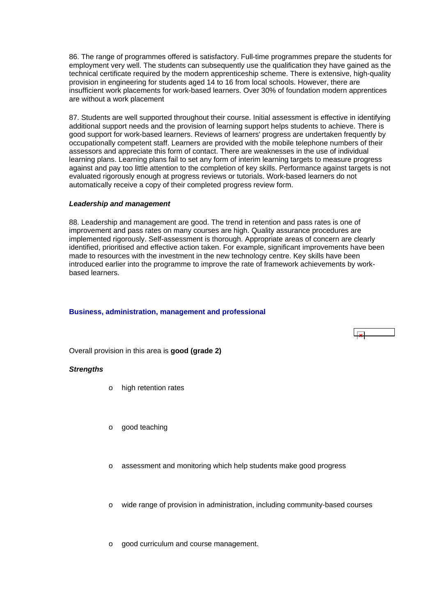<span id="page-30-0"></span>86. The range of programmes offered is satisfactory. Full-time programmes prepare the students for employment very well. The students can subsequently use the qualification they have gained as the technical certificate required by the modern apprenticeship scheme. There is extensive, high-quality provision in engineering for students aged 14 to 16 from local schools. However, there are insufficient work placements for work-based learners. Over 30% of foundation modern apprentices are without a work placement

87. Students are well supported throughout their course. Initial assessment is effective in identifying additional support needs and the provision of learning support helps students to achieve. There is good support for work-based learners. Reviews of learners' progress are undertaken frequently by occupationally competent staff. Learners are provided with the mobile telephone numbers of their assessors and appreciate this form of contact. There are weaknesses in the use of individual learning plans. Learning plans fail to set any form of interim learning targets to measure progress against and pay too little attention to the completion of key skills. Performance against targets is not evaluated rigorously enough at progress reviews or tutorials. Work-based learners do not automatically receive a copy of their completed progress review form.

#### *Leadership and management*

88. Leadership and management are good. The trend in retention and pass rates is one of improvement and pass rates on many courses are high. Quality assurance procedures are implemented rigorously. Self-assessment is thorough. Appropriate areas of concern are clearly identified, prioritised and effective action taken. For example, significant improvements have been made to resources with the investment in the new technology centre. Key skills have been introduced earlier into the programme to improve the rate of framework achievements by workbased learners.

## **Business, administration, management and professional**

Overall provision in this area is **good (grade 2)**

## *Strengths*

- o high retention rates
- o good teaching
- o assessment and monitoring which help students make good progress
- o wide range of provision in administration, including community-based courses
- o good curriculum and course management.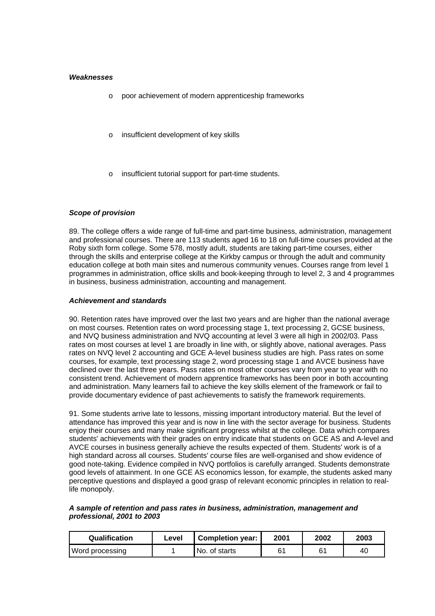#### *Weaknesses*

- o poor achievement of modern apprenticeship frameworks
- o insufficient development of key skills
- insufficient tutorial support for part-time students.

## *Scope of provision*

89. The college offers a wide range of full-time and part-time business, administration, management and professional courses. There are 113 students aged 16 to 18 on full-time courses provided at the Roby sixth form college. Some 578, mostly adult, students are taking part-time courses, either through the skills and enterprise college at the Kirkby campus or through the adult and community education college at both main sites and numerous community venues. Courses range from level 1 programmes in administration, office skills and book-keeping through to level 2, 3 and 4 programmes in business, business administration, accounting and management.

#### *Achievement and standards*

90. Retention rates have improved over the last two years and are higher than the national average on most courses. Retention rates on word processing stage 1, text processing 2, GCSE business, and NVQ business administration and NVQ accounting at level 3 were all high in 2002/03. Pass rates on most courses at level 1 are broadly in line with, or slightly above, national averages. Pass rates on NVQ level 2 accounting and GCE A-level business studies are high. Pass rates on some courses, for example, text processing stage 2, word processing stage 1 and AVCE business have declined over the last three years. Pass rates on most other courses vary from year to year with no consistent trend. Achievement of modern apprentice frameworks has been poor in both accounting and administration. Many learners fail to achieve the key skills element of the framework or fail to provide documentary evidence of past achievements to satisfy the framework requirements.

91. Some students arrive late to lessons, missing important introductory material. But the level of attendance has improved this year and is now in line with the sector average for business. Students enjoy their courses and many make significant progress whilst at the college. Data which compares students' achievements with their grades on entry indicate that students on GCE AS and A-level and AVCE courses in business generally achieve the results expected of them. Students' work is of a high standard across all courses. Students' course files are well-organised and show evidence of good note-taking. Evidence compiled in NVQ portfolios is carefully arranged. Students demonstrate good levels of attainment. In one GCE AS economics lesson, for example, the students asked many perceptive questions and displayed a good grasp of relevant economic principles in relation to reallife monopoly.

## *A sample of retention and pass rates in business, administration, management and professional, 2001 to 2003*

| <b>Qualification</b> | Level | <b>Completion year:</b> | 2001           | 2002 | 2003 |
|----------------------|-------|-------------------------|----------------|------|------|
| Word processing      |       | No. of starts           | 6 <sup>′</sup> | ና1   | 40   |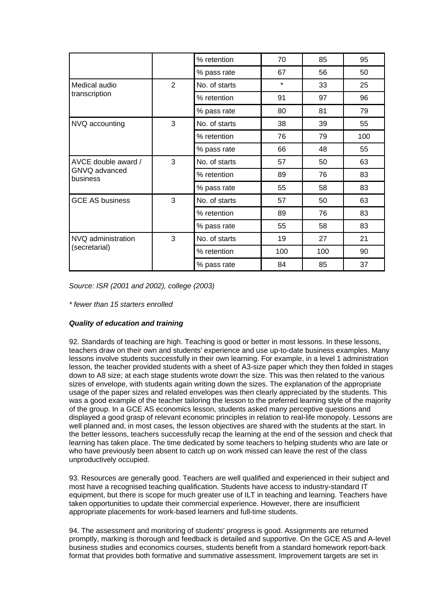|                                                  |                | % retention   | 70      | 85  | 95  |
|--------------------------------------------------|----------------|---------------|---------|-----|-----|
|                                                  |                | % pass rate   | 67      | 56  | 50  |
| Medical audio                                    | $\overline{2}$ | No. of starts | $\star$ | 33  | 25  |
| transcription                                    |                | % retention   | 91      | 97  | 96  |
|                                                  |                | % pass rate   | 80      | 81  | 79  |
| NVQ accounting                                   | 3              | No. of starts | 38      | 39  | 55  |
|                                                  |                | % retention   | 76      | 79  | 100 |
|                                                  |                | % pass rate   | 66      | 48  | 55  |
| AVCE double award /<br>GNVQ advanced<br>business | 3              | No. of starts | 57      | 50  | 63  |
|                                                  |                | % retention   | 89      | 76  | 83  |
|                                                  |                | % pass rate   | 55      | 58  | 83  |
| <b>GCE AS business</b>                           | 3              | No. of starts | 57      | 50  | 63  |
|                                                  |                | % retention   | 89      | 76  | 83  |
|                                                  |                | % pass rate   | 55      | 58  | 83  |
| NVQ administration<br>(secretarial)              | 3              | No. of starts | 19      | 27  | 21  |
|                                                  |                | % retention   | 100     | 100 | 90  |
|                                                  |                | % pass rate   | 84      | 85  | 37  |

*Source: ISR (2001 and 2002), college (2003)*

*\* fewer than 15 starters enrolled*

## *Quality of education and training*

92. Standards of teaching are high. Teaching is good or better in most lessons. In these lessons, teachers draw on their own and students' experience and use up-to-date business examples. Many lessons involve students successfully in their own learning. For example, in a level 1 administration lesson, the teacher provided students with a sheet of A3-size paper which they then folded in stages down to A8 size; at each stage students wrote down the size. This was then related to the various sizes of envelope, with students again writing down the sizes. The explanation of the appropriate usage of the paper sizes and related envelopes was then clearly appreciated by the students. This was a good example of the teacher tailoring the lesson to the preferred learning style of the majority of the group. In a GCE AS economics lesson, students asked many perceptive questions and displayed a good grasp of relevant economic principles in relation to real-life monopoly. Lessons are well planned and, in most cases, the lesson objectives are shared with the students at the start. In the better lessons, teachers successfully recap the learning at the end of the session and check that learning has taken place. The time dedicated by some teachers to helping students who are late or who have previously been absent to catch up on work missed can leave the rest of the class unproductively occupied.

93. Resources are generally good. Teachers are well qualified and experienced in their subject and most have a recognised teaching qualification. Students have access to industry-standard IT equipment, but there is scope for much greater use of ILT in teaching and learning. Teachers have taken opportunities to update their commercial experience. However, there are insufficient appropriate placements for work-based learners and full-time students.

94. The assessment and monitoring of students' progress is good. Assignments are returned promptly, marking is thorough and feedback is detailed and supportive. On the GCE AS and A-level business studies and economics courses, students benefit from a standard homework report-back format that provides both formative and summative assessment. Improvement targets are set in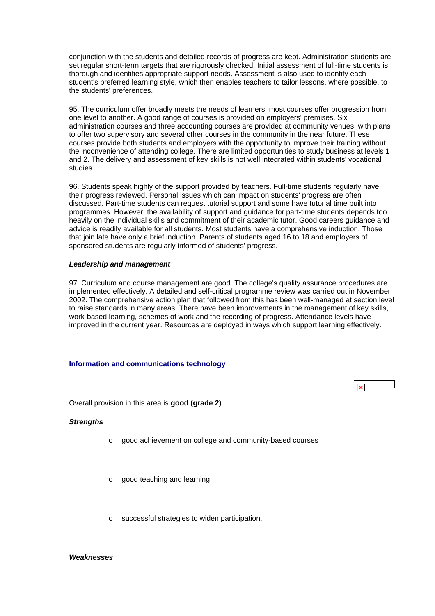<span id="page-33-0"></span>conjunction with the students and detailed records of progress are kept. Administration students are set regular short-term targets that are rigorously checked. Initial assessment of full-time students is thorough and identifies appropriate support needs. Assessment is also used to identify each student's preferred learning style, which then enables teachers to tailor lessons, where possible, to the students' preferences.

95. The curriculum offer broadly meets the needs of learners; most courses offer progression from one level to another. A good range of courses is provided on employers' premises. Six administration courses and three accounting courses are provided at community venues, with plans to offer two supervisory and several other courses in the community in the near future. These courses provide both students and employers with the opportunity to improve their training without the inconvenience of attending college. There are limited opportunities to study business at levels 1 and 2. The delivery and assessment of key skills is not well integrated within students' vocational studies.

96. Students speak highly of the support provided by teachers. Full-time students regularly have their progress reviewed. Personal issues which can impact on students' progress are often discussed. Part-time students can request tutorial support and some have tutorial time built into programmes. However, the availability of support and guidance for part-time students depends too heavily on the individual skills and commitment of their academic tutor. Good careers guidance and advice is readily available for all students. Most students have a comprehensive induction. Those that join late have only a brief induction. Parents of students aged 16 to 18 and employers of sponsored students are regularly informed of students' progress.

#### *Leadership and management*

97. Curriculum and course management are good. The college's quality assurance procedures are implemented effectively. A detailed and self-critical programme review was carried out in November 2002. The comprehensive action plan that followed from this has been well-managed at section level to raise standards in many areas. There have been improvements in the management of key skills, work-based learning, schemes of work and the recording of progress. Attendance levels have improved in the current year. Resources are deployed in ways which support learning effectively.

#### **Information and communications technology**

Overall provision in this area is **good (grade 2)**

#### *Strengths*

- o good achievement on college and community-based courses
- o good teaching and learning
- o successful strategies to widen participation.

#### *Weaknesses*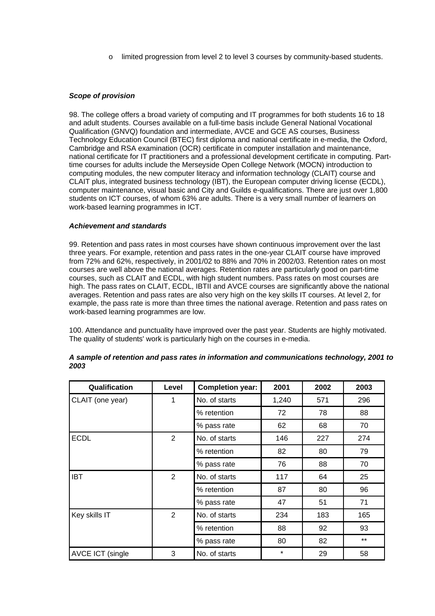o limited progression from level 2 to level 3 courses by community-based students.

## *Scope of provision*

98. The college offers a broad variety of computing and IT programmes for both students 16 to 18 and adult students. Courses available on a full-time basis include General National Vocational Qualification (GNVQ) foundation and intermediate, AVCE and GCE AS courses, Business Technology Education Council (BTEC) first diploma and national certificate in e-media, the Oxford, Cambridge and RSA examination (OCR) certificate in computer installation and maintenance, national certificate for IT practitioners and a professional development certificate in computing. Parttime courses for adults include the Merseyside Open College Network (MOCN) introduction to computing modules, the new computer literacy and information technology (CLAIT) course and CLAIT plus, integrated business technology (IBT), the European computer driving license (ECDL), computer maintenance, visual basic and City and Guilds e-qualifications. There are just over 1,800 students on ICT courses, of whom 63% are adults. There is a very small number of learners on work-based learning programmes in ICT.

## *Achievement and standards*

99. Retention and pass rates in most courses have shown continuous improvement over the last three years. For example, retention and pass rates in the one-year CLAIT course have improved from 72% and 62%, respectively, in 2001/02 to 88% and 70% in 2002/03. Retention rates on most courses are well above the national averages. Retention rates are particularly good on part-time courses, such as CLAIT and ECDL, with high student numbers. Pass rates on most courses are high. The pass rates on CLAIT, ECDL, IBTII and AVCE courses are significantly above the national averages. Retention and pass rates are also very high on the key skills IT courses. At level 2, for example, the pass rate is more than three times the national average. Retention and pass rates on work-based learning programmes are low.

100. Attendance and punctuality have improved over the past year. Students are highly motivated. The quality of students' work is particularly high on the courses in e-media.

| Qualification           | Level          | <b>Completion year:</b> | 2001    | 2002 | 2003  |
|-------------------------|----------------|-------------------------|---------|------|-------|
| CLAIT (one year)        | 1              | No. of starts           | 1,240   | 571  | 296   |
|                         |                | % retention             | 72      | 78   | 88    |
|                         |                | % pass rate             | 62      | 68   | 70    |
| <b>ECDL</b>             | $\overline{2}$ | No. of starts           | 146     | 227  | 274   |
|                         |                | % retention             | 82      | 80   | 79    |
|                         |                | % pass rate             | 76      | 88   | 70    |
| <b>IBT</b>              | $\overline{2}$ | No. of starts           | 117     | 64   | 25    |
|                         |                | % retention             | 87      | 80   | 96    |
|                         |                | % pass rate             | 47      | 51   | 71    |
| Key skills IT           | $\overline{2}$ | No. of starts           | 234     | 183  | 165   |
|                         |                | % retention             | 88      | 92   | 93    |
|                         |                | % pass rate             | 80      | 82   | $***$ |
| <b>AVCE ICT (single</b> | 3              | No. of starts           | $\star$ | 29   | 58    |

## *A sample of retention and pass rates in information and communications technology, 2001 to 2003*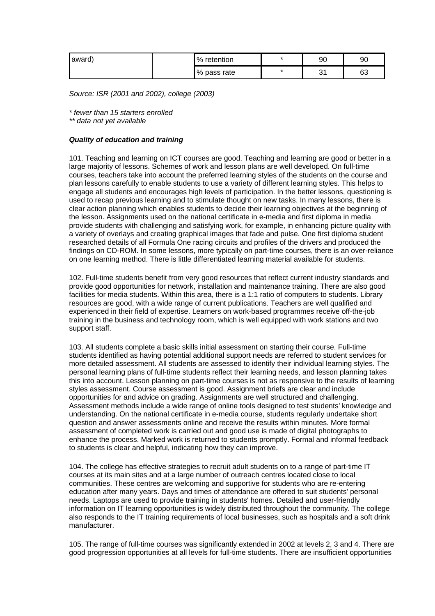| award) | %<br>retention | * | 90 | 90 |
|--------|----------------|---|----|----|
|        | % pass rate    | * | ັ  | 63 |

*Source: ISR (2001 and 2002), college (2003)*

*\* fewer than 15 starters enrolled* 

*\*\* data not yet available*

## *Quality of education and training*

101. Teaching and learning on ICT courses are good. Teaching and learning are good or better in a large majority of lessons. Schemes of work and lesson plans are well developed. On full-time courses, teachers take into account the preferred learning styles of the students on the course and plan lessons carefully to enable students to use a variety of different learning styles. This helps to engage all students and encourages high levels of participation. In the better lessons, questioning is used to recap previous learning and to stimulate thought on new tasks. In many lessons, there is clear action planning which enables students to decide their learning objectives at the beginning of the lesson. Assignments used on the national certificate in e-media and first diploma in media provide students with challenging and satisfying work, for example, in enhancing picture quality with a variety of overlays and creating graphical images that fade and pulse. One first diploma student researched details of all Formula One racing circuits and profiles of the drivers and produced the findings on CD-ROM. In some lessons, more typically on part-time courses, there is an over-reliance on one learning method. There is little differentiated learning material available for students.

102. Full-time students benefit from very good resources that reflect current industry standards and provide good opportunities for network, installation and maintenance training. There are also good facilities for media students. Within this area, there is a 1:1 ratio of computers to students. Library resources are good, with a wide range of current publications. Teachers are well qualified and experienced in their field of expertise. Learners on work-based programmes receive off-the-job training in the business and technology room, which is well equipped with work stations and two support staff.

103. All students complete a basic skills initial assessment on starting their course. Full-time students identified as having potential additional support needs are referred to student services for more detailed assessment. All students are assessed to identify their individual learning styles. The personal learning plans of full-time students reflect their learning needs, and lesson planning takes this into account. Lesson planning on part-time courses is not as responsive to the results of learning styles assessment. Course assessment is good. Assignment briefs are clear and include opportunities for and advice on grading. Assignments are well structured and challenging. Assessment methods include a wide range of online tools designed to test students' knowledge and understanding. On the national certificate in e-media course, students regularly undertake short question and answer assessments online and receive the results within minutes. More formal assessment of completed work is carried out and good use is made of digital photographs to enhance the process. Marked work is returned to students promptly. Formal and informal feedback to students is clear and helpful, indicating how they can improve.

104. The college has effective strategies to recruit adult students on to a range of part-time IT courses at its main sites and at a large number of outreach centres located close to local communities. These centres are welcoming and supportive for students who are re-entering education after many years. Days and times of attendance are offered to suit students' personal needs. Laptops are used to provide training in students' homes. Detailed and user-friendly information on IT learning opportunities is widely distributed throughout the community. The college also responds to the IT training requirements of local businesses, such as hospitals and a soft drink manufacturer.

105. The range of full-time courses was significantly extended in 2002 at levels 2, 3 and 4. There are good progression opportunities at all levels for full-time students. There are insufficient opportunities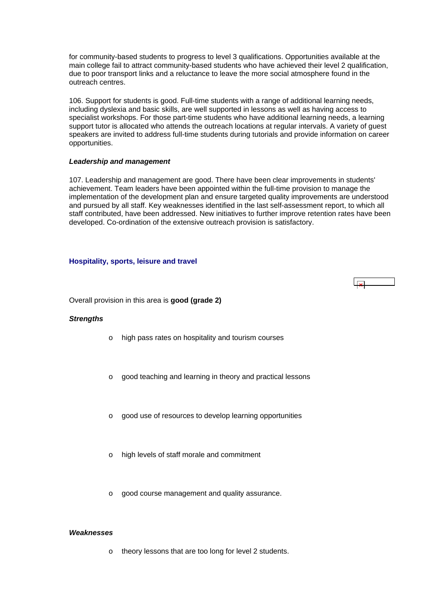<span id="page-36-0"></span>for community-based students to progress to level 3 qualifications. Opportunities available at the main college fail to attract community-based students who have achieved their level 2 qualification, due to poor transport links and a reluctance to leave the more social atmosphere found in the outreach centres.

106. Support for students is good. Full-time students with a range of additional learning needs, including dyslexia and basic skills, are well supported in lessons as well as having access to specialist workshops. For those part-time students who have additional learning needs, a learning support tutor is allocated who attends the outreach locations at regular intervals. A variety of guest speakers are invited to address full-time students during tutorials and provide information on career opportunities.

#### *Leadership and management*

107. Leadership and management are good. There have been clear improvements in students' achievement. Team leaders have been appointed within the full-time provision to manage the implementation of the development plan and ensure targeted quality improvements are understood and pursued by all staff. Key weaknesses identified in the last self-assessment report, to which all staff contributed, have been addressed. New initiatives to further improve retention rates have been developed. Co-ordination of the extensive outreach provision is satisfactory.

#### **Hospitality, sports, leisure and travel**



Overall provision in this area is **good (grade 2)**

#### *Strengths*

- o high pass rates on hospitality and tourism courses
- o good teaching and learning in theory and practical lessons
- o good use of resources to develop learning opportunities
- o high levels of staff morale and commitment
- o good course management and quality assurance.

## *Weaknesses*

o theory lessons that are too long for level 2 students.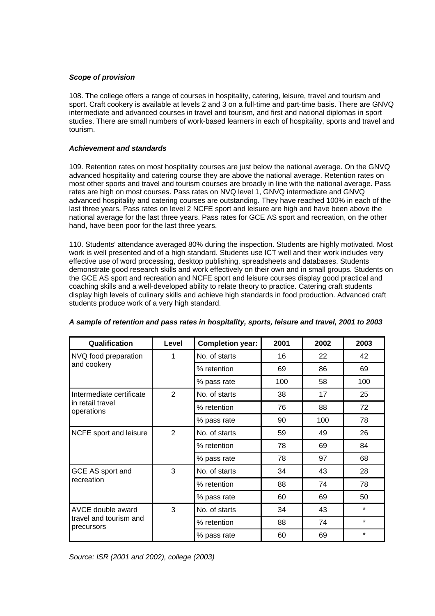## *Scope of provision*

108. The college offers a range of courses in hospitality, catering, leisure, travel and tourism and sport. Craft cookery is available at levels 2 and 3 on a full-time and part-time basis. There are GNVQ intermediate and advanced courses in travel and tourism, and first and national diplomas in sport studies. There are small numbers of work-based learners in each of hospitality, sports and travel and tourism.

## *Achievement and standards*

109. Retention rates on most hospitality courses are just below the national average. On the GNVQ advanced hospitality and catering course they are above the national average. Retention rates on most other sports and travel and tourism courses are broadly in line with the national average. Pass rates are high on most courses. Pass rates on NVQ level 1, GNVQ intermediate and GNVQ advanced hospitality and catering courses are outstanding. They have reached 100% in each of the last three years. Pass rates on level 2 NCFE sport and leisure are high and have been above the national average for the last three years. Pass rates for GCE AS sport and recreation, on the other hand, have been poor for the last three years.

110. Students' attendance averaged 80% during the inspection. Students are highly motivated. Most work is well presented and of a high standard. Students use ICT well and their work includes very effective use of word processing, desktop publishing, spreadsheets and databases. Students demonstrate good research skills and work effectively on their own and in small groups. Students on the GCE AS sport and recreation and NCFE sport and leisure courses display good practical and coaching skills and a well-developed ability to relate theory to practice. Catering craft students display high levels of culinary skills and achieve high standards in food production. Advanced craft students produce work of a very high standard.

| Qualification                                             | Level | <b>Completion year:</b> | 2001 | 2002 | 2003    |
|-----------------------------------------------------------|-------|-------------------------|------|------|---------|
| NVQ food preparation                                      | 1     | No. of starts           | 16   | 22   | 42      |
| and cookery                                               |       | % retention             | 69   | 86   | 69      |
|                                                           |       | % pass rate             | 100  | 58   | 100     |
| Intermediate certificate                                  | 2     | No. of starts           | 38   | 17   | 25      |
| in retail travel<br>operations                            |       | % retention             | 76   | 88   | 72      |
|                                                           |       | % pass rate             | 90   | 100  | 78      |
| NCFE sport and leisure                                    | 2     | No. of starts           | 59   | 49   | 26      |
|                                                           |       | % retention             | 78   | 69   | 84      |
|                                                           |       | % pass rate             | 78   | 97   | 68      |
| GCE AS sport and                                          | 3     | No. of starts           | 34   | 43   | 28      |
| recreation                                                |       | % retention             | 88   | 74   | 78      |
|                                                           |       | % pass rate             | 60   | 69   | 50      |
| AVCE double award<br>travel and tourism and<br>precursors | 3     | No. of starts           | 34   | 43   | $\star$ |
|                                                           |       | % retention             | 88   | 74   | $\star$ |
|                                                           |       | % pass rate             | 60   | 69   | $\star$ |

## *A sample of retention and pass rates in hospitality, sports, leisure and travel, 2001 to 2003*

*Source: ISR (2001 and 2002), college (2003)*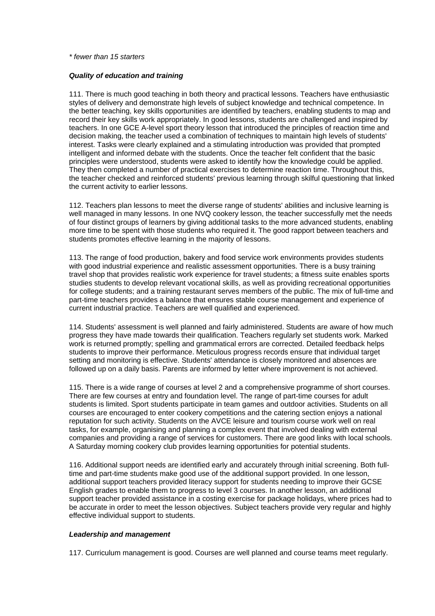#### *\* fewer than 15 starters*

#### *Quality of education and training*

111. There is much good teaching in both theory and practical lessons. Teachers have enthusiastic styles of delivery and demonstrate high levels of subject knowledge and technical competence. In the better teaching, key skills opportunities are identified by teachers, enabling students to map and record their key skills work appropriately. In good lessons, students are challenged and inspired by teachers. In one GCE A-level sport theory lesson that introduced the principles of reaction time and decision making, the teacher used a combination of techniques to maintain high levels of students' interest. Tasks were clearly explained and a stimulating introduction was provided that prompted intelligent and informed debate with the students. Once the teacher felt confident that the basic principles were understood, students were asked to identify how the knowledge could be applied. They then completed a number of practical exercises to determine reaction time. Throughout this, the teacher checked and reinforced students' previous learning through skilful questioning that linked the current activity to earlier lessons.

112. Teachers plan lessons to meet the diverse range of students' abilities and inclusive learning is well managed in many lessons. In one NVQ cookery lesson, the teacher successfully met the needs of four distinct groups of learners by giving additional tasks to the more advanced students, enabling more time to be spent with those students who required it. The good rapport between teachers and students promotes effective learning in the majority of lessons.

113. The range of food production, bakery and food service work environments provides students with good industrial experience and realistic assessment opportunities. There is a busy training travel shop that provides realistic work experience for travel students; a fitness suite enables sports studies students to develop relevant vocational skills, as well as providing recreational opportunities for college students; and a training restaurant serves members of the public. The mix of full-time and part-time teachers provides a balance that ensures stable course management and experience of current industrial practice. Teachers are well qualified and experienced.

114. Students' assessment is well planned and fairly administered. Students are aware of how much progress they have made towards their qualification. Teachers regularly set students work. Marked work is returned promptly; spelling and grammatical errors are corrected. Detailed feedback helps students to improve their performance. Meticulous progress records ensure that individual target setting and monitoring is effective. Students' attendance is closely monitored and absences are followed up on a daily basis. Parents are informed by letter where improvement is not achieved.

115. There is a wide range of courses at level 2 and a comprehensive programme of short courses. There are few courses at entry and foundation level. The range of part-time courses for adult students is limited. Sport students participate in team games and outdoor activities. Students on all courses are encouraged to enter cookery competitions and the catering section enjoys a national reputation for such activity. Students on the AVCE leisure and tourism course work well on real tasks, for example, organising and planning a complex event that involved dealing with external companies and providing a range of services for customers. There are good links with local schools. A Saturday morning cookery club provides learning opportunities for potential students.

116. Additional support needs are identified early and accurately through initial screening. Both fulltime and part-time students make good use of the additional support provided. In one lesson, additional support teachers provided literacy support for students needing to improve their GCSE English grades to enable them to progress to level 3 courses. In another lesson, an additional support teacher provided assistance in a costing exercise for package holidays, where prices had to be accurate in order to meet the lesson objectives. Subject teachers provide very regular and highly effective individual support to students.

#### *Leadership and management*

117. Curriculum management is good. Courses are well planned and course teams meet regularly.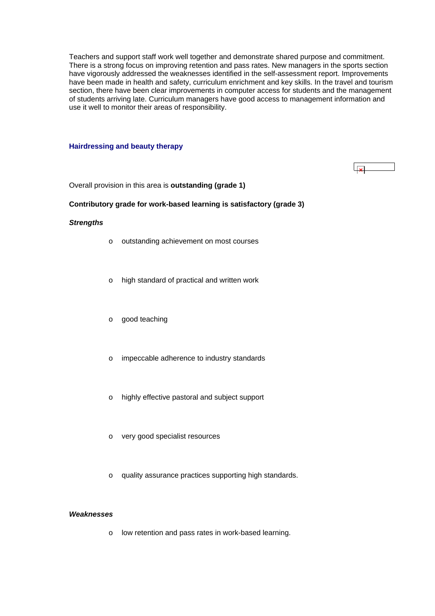<span id="page-39-0"></span>Teachers and support staff work well together and demonstrate shared purpose and commitment. There is a strong focus on improving retention and pass rates. New managers in the sports section have vigorously addressed the weaknesses identified in the self-assessment report. Improvements have been made in health and safety, curriculum enrichment and key skills. In the travel and tourism section, there have been clear improvements in computer access for students and the management of students arriving late. Curriculum managers have good access to management information and use it well to monitor their areas of responsibility.

#### **Hairdressing and beauty therapy**

Overall provision in this area is **outstanding (grade 1)**

## **Contributory grade for work-based learning is satisfactory (grade 3)**

#### *Strengths*

- o outstanding achievement on most courses
- o high standard of practical and written work
- o good teaching
- o impeccable adherence to industry standards
- o highly effective pastoral and subject support
- o very good specialist resources
- o quality assurance practices supporting high standards.

#### *Weaknesses*

o low retention and pass rates in work-based learning.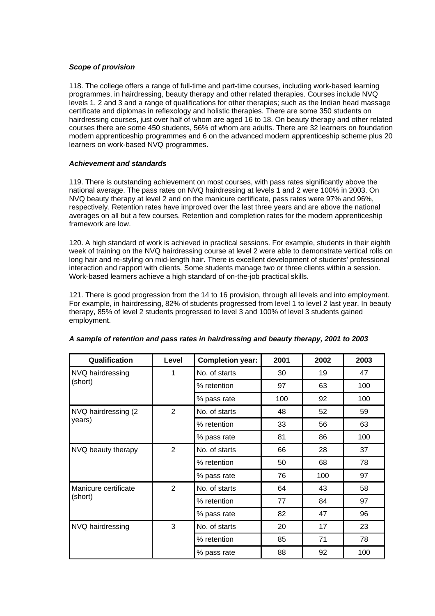## *Scope of provision*

118. The college offers a range of full-time and part-time courses, including work-based learning programmes, in hairdressing, beauty therapy and other related therapies. Courses include NVQ levels 1, 2 and 3 and a range of qualifications for other therapies; such as the Indian head massage certificate and diplomas in reflexology and holistic therapies. There are some 350 students on hairdressing courses, just over half of whom are aged 16 to 18. On beauty therapy and other related courses there are some 450 students, 56% of whom are adults. There are 32 learners on foundation modern apprenticeship programmes and 6 on the advanced modern apprenticeship scheme plus 20 learners on work-based NVQ programmes.

## *Achievement and standards*

119. There is outstanding achievement on most courses, with pass rates significantly above the national average. The pass rates on NVQ hairdressing at levels 1 and 2 were 100% in 2003. On NVQ beauty therapy at level 2 and on the manicure certificate, pass rates were 97% and 96%, respectively. Retention rates have improved over the last three years and are above the national averages on all but a few courses. Retention and completion rates for the modern apprenticeship framework are low.

120. A high standard of work is achieved in practical sessions. For example, students in their eighth week of training on the NVQ hairdressing course at level 2 were able to demonstrate vertical rolls on long hair and re-styling on mid-length hair. There is excellent development of students' professional interaction and rapport with clients. Some students manage two or three clients within a session. Work-based learners achieve a high standard of on-the-job practical skills.

121. There is good progression from the 14 to 16 provision, through all levels and into employment. For example, in hairdressing, 82% of students progressed from level 1 to level 2 last year. In beauty therapy, 85% of level 2 students progressed to level 3 and 100% of level 3 students gained employment.

| Qualification        | Level          | <b>Completion year:</b> | 2001 | 2002 | 2003 |
|----------------------|----------------|-------------------------|------|------|------|
| NVQ hairdressing     | 1              | No. of starts           | 30   | 19   | 47   |
| (short)              |                | % retention             | 97   | 63   | 100  |
|                      |                | % pass rate             | 100  | 92   | 100  |
| NVQ hairdressing (2) | $\overline{2}$ | No. of starts           | 48   | 52   | 59   |
| years)               |                | % retention             | 33   | 56   | 63   |
|                      |                | % pass rate             | 81   | 86   | 100  |
| NVQ beauty therapy   | $\overline{2}$ | No. of starts           | 66   | 28   | 37   |
|                      |                | % retention             | 50   | 68   | 78   |
|                      |                | % pass rate             | 76   | 100  | 97   |
| Manicure certificate | $\overline{2}$ | No. of starts           | 64   | 43   | 58   |
| (short)              |                | % retention             | 77   | 84   | 97   |
|                      |                | % pass rate             | 82   | 47   | 96   |
| NVQ hairdressing     | 3              | No. of starts           | 20   | 17   | 23   |
|                      |                | % retention             | 85   | 71   | 78   |
|                      |                | % pass rate             | 88   | 92   | 100  |

## *A sample of retention and pass rates in hairdressing and beauty therapy, 2001 to 2003*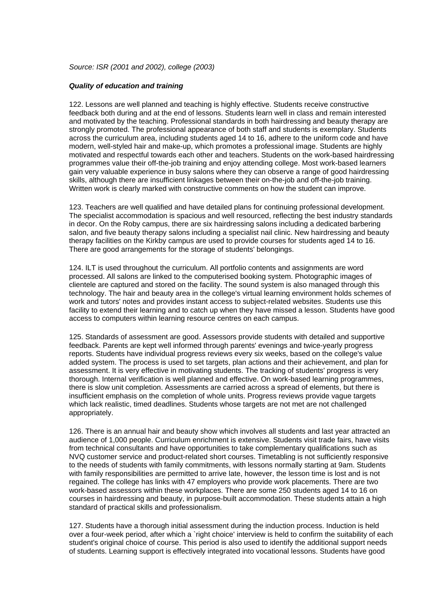*Source: ISR (2001 and 2002), college (2003)*

#### *Quality of education and training*

122. Lessons are well planned and teaching is highly effective. Students receive constructive feedback both during and at the end of lessons. Students learn well in class and remain interested and motivated by the teaching. Professional standards in both hairdressing and beauty therapy are strongly promoted. The professional appearance of both staff and students is exemplary. Students across the curriculum area, including students aged 14 to 16, adhere to the uniform code and have modern, well-styled hair and make-up, which promotes a professional image. Students are highly motivated and respectful towards each other and teachers. Students on the work-based hairdressing programmes value their off-the-job training and enjoy attending college. Most work-based learners gain very valuable experience in busy salons where they can observe a range of good hairdressing skills, although there are insufficient linkages between their on-the-job and off-the-job training. Written work is clearly marked with constructive comments on how the student can improve.

123. Teachers are well qualified and have detailed plans for continuing professional development. The specialist accommodation is spacious and well resourced, reflecting the best industry standards in decor. On the Roby campus, there are six hairdressing salons including a dedicated barbering salon, and five beauty therapy salons including a specialist nail clinic. New hairdressing and beauty therapy facilities on the Kirkby campus are used to provide courses for students aged 14 to 16. There are good arrangements for the storage of students' belongings.

124. ILT is used throughout the curriculum. All portfolio contents and assignments are word processed. All salons are linked to the computerised booking system. Photographic images of clientele are captured and stored on the facility. The sound system is also managed through this technology. The hair and beauty area in the college's virtual learning environment holds schemes of work and tutors' notes and provides instant access to subject-related websites. Students use this facility to extend their learning and to catch up when they have missed a lesson. Students have good access to computers within learning resource centres on each campus.

125. Standards of assessment are good. Assessors provide students with detailed and supportive feedback. Parents are kept well informed through parents' evenings and twice-yearly progress reports. Students have individual progress reviews every six weeks, based on the college's value added system. The process is used to set targets, plan actions and their achievement, and plan for assessment. It is very effective in motivating students. The tracking of students' progress is very thorough. Internal verification is well planned and effective. On work-based learning programmes, there is slow unit completion. Assessments are carried across a spread of elements, but there is insufficient emphasis on the completion of whole units. Progress reviews provide vague targets which lack realistic, timed deadlines. Students whose targets are not met are not challenged appropriately.

126. There is an annual hair and beauty show which involves all students and last year attracted an audience of 1,000 people. Curriculum enrichment is extensive. Students visit trade fairs, have visits from technical consultants and have opportunities to take complementary qualifications such as NVQ customer service and product-related short courses. Timetabling is not sufficiently responsive to the needs of students with family commitments, with lessons normally starting at 9am. Students with family responsibilities are permitted to arrive late, however, the lesson time is lost and is not regained. The college has links with 47 employers who provide work placements. There are two work-based assessors within these workplaces. There are some 250 students aged 14 to 16 on courses in hairdressing and beauty, in purpose-built accommodation. These students attain a high standard of practical skills and professionalism.

127. Students have a thorough initial assessment during the induction process. Induction is held over a four-week period, after which a `right choice' interview is held to confirm the suitability of each student's original choice of course. This period is also used to identify the additional support needs of students. Learning support is effectively integrated into vocational lessons. Students have good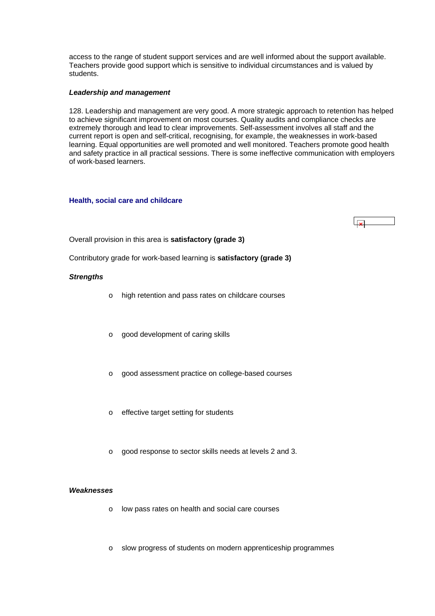<span id="page-42-0"></span>access to the range of student support services and are well informed about the support available. Teachers provide good support which is sensitive to individual circumstances and is valued by students.

## *Leadership and management*

128. Leadership and management are very good. A more strategic approach to retention has helped to achieve significant improvement on most courses. Quality audits and compliance checks are extremely thorough and lead to clear improvements. Self-assessment involves all staff and the current report is open and self-critical, recognising, for example, the weaknesses in work-based learning. Equal opportunities are well promoted and well monitored. Teachers promote good health and safety practice in all practical sessions. There is some ineffective communication with employers of work-based learners.

## **Health, social care and childcare**

Overall provision in this area is **satisfactory (grade 3)**

Contributory grade for work-based learning is **satisfactory (grade 3)**

## *Strengths*

- o high retention and pass rates on childcare courses
- o good development of caring skills
- o good assessment practice on college-based courses
- o effective target setting for students
- o good response to sector skills needs at levels 2 and 3.

## *Weaknesses*

- o low pass rates on health and social care courses
- o slow progress of students on modern apprenticeship programmes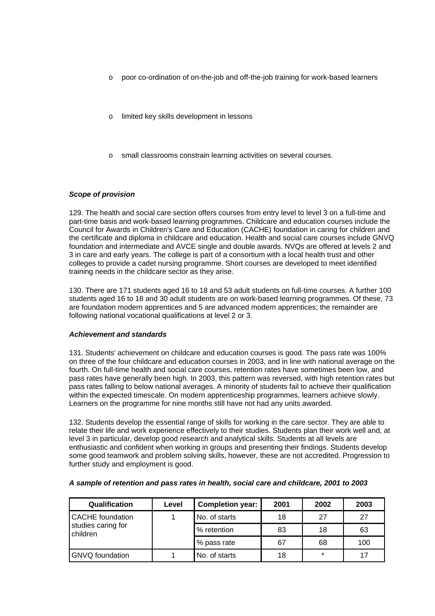- o poor co-ordination of on-the-job and off-the-job training for work-based learners
- o limited key skills development in lessons
- small classrooms constrain learning activities on several courses.

## *Scope of provision*

129. The health and social care section offers courses from entry level to level 3 on a full-time and part-time basis and work-based learning programmes. Childcare and education courses include the Council for Awards in Children's Care and Education (CACHE) foundation in caring for children and the certificate and diploma in childcare and education. Health and social care courses include GNVQ foundation and intermediate and AVCE single and double awards. NVQs are offered at levels 2 and 3 in care and early years. The college is part of a consortium with a local health trust and other colleges to provide a cadet nursing programme. Short courses are developed to meet identified training needs in the childcare sector as they arise.

130. There are 171 students aged 16 to 18 and 53 adult students on full-time courses. A further 100 students aged 16 to 18 and 30 adult students are on work-based learning programmes. Of these, 73 are foundation modern apprentices and 5 are advanced modern apprentices; the remainder are following national vocational qualifications at level 2 or 3.

## *Achievement and standards*

131. Students' achievement on childcare and education courses is good. The pass rate was 100% on three of the four childcare and education courses in 2003, and in line with national average on the fourth. On full-time health and social care courses, retention rates have sometimes been low, and pass rates have generally been high. In 2003, this pattern was reversed, with high retention rates but pass rates falling to below national averages. A minority of students fail to achieve their qualification within the expected timescale. On modern apprenticeship programmes, learners achieve slowly. Learners on the programme for nine months still have not had any units awarded.

132. Students develop the essential range of skills for working in the care sector. They are able to relate their life and work experience effectively to their studies. Students plan their work well and, at level 3 in particular, develop good research and analytical skills. Students at all levels are enthusiastic and confident when working in groups and presenting their findings. Students develop some good teamwork and problem solving skills, however, these are not accredited. Progression to further study and employment is good.

| Qualification                  | Level | <b>Completion year:</b> | 2001 | 2002    | 2003 |
|--------------------------------|-------|-------------------------|------|---------|------|
| <b>CACHE</b> foundation        |       | No. of starts           | 18   | 27      | 27   |
| studies caring for<br>children |       | % retention             | 83   | 18      | 63   |
|                                |       | % pass rate             | 67   | 68      | 100  |
| <b>GNVQ</b> foundation         |       | No. of starts           | 18   | $\star$ | 17   |

## *A sample of retention and pass rates in health, social care and childcare, 2001 to 2003*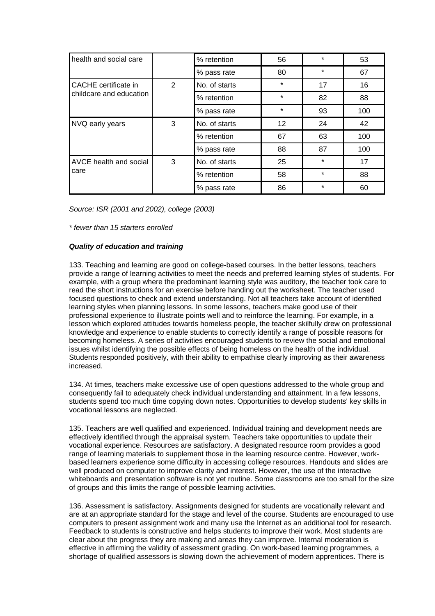| health and social care  |   | % retention   | 56      | ÷       | 53  |
|-------------------------|---|---------------|---------|---------|-----|
|                         |   | % pass rate   | 80      | $\star$ | 67  |
| CACHE certificate in    | 2 | No. of starts | *       | 17      | 16  |
| childcare and education |   | % retention   | $\star$ | 82      | 88  |
|                         |   | % pass rate   | $\star$ | 93      | 100 |
| NVQ early years         | 3 | No. of starts | 12      | 24      | 42  |
|                         |   | % retention   | 67      | 63      | 100 |
|                         |   | % pass rate   | 88      | 87      | 100 |
| AVCE health and social  | 3 | No. of starts | 25      | $\star$ | 17  |
| care                    |   | % retention   | 58      | $\star$ | 88  |
|                         |   | % pass rate   | 86      | $\star$ | 60  |

*Source: ISR (2001 and 2002), college (2003)*

*\* fewer than 15 starters enrolled*

## *Quality of education and training*

133. Teaching and learning are good on college-based courses. In the better lessons, teachers provide a range of learning activities to meet the needs and preferred learning styles of students. For example, with a group where the predominant learning style was auditory, the teacher took care to read the short instructions for an exercise before handing out the worksheet. The teacher used focused questions to check and extend understanding. Not all teachers take account of identified learning styles when planning lessons. In some lessons, teachers make good use of their professional experience to illustrate points well and to reinforce the learning. For example, in a lesson which explored attitudes towards homeless people, the teacher skilfully drew on professional knowledge and experience to enable students to correctly identify a range of possible reasons for becoming homeless. A series of activities encouraged students to review the social and emotional issues whilst identifying the possible effects of being homeless on the health of the individual. Students responded positively, with their ability to empathise clearly improving as their awareness increased.

134. At times, teachers make excessive use of open questions addressed to the whole group and consequently fail to adequately check individual understanding and attainment. In a few lessons, students spend too much time copying down notes. Opportunities to develop students' key skills in vocational lessons are neglected.

135. Teachers are well qualified and experienced. Individual training and development needs are effectively identified through the appraisal system. Teachers take opportunities to update their vocational experience. Resources are satisfactory. A designated resource room provides a good range of learning materials to supplement those in the learning resource centre. However, workbased learners experience some difficulty in accessing college resources. Handouts and slides are well produced on computer to improve clarity and interest. However, the use of the interactive whiteboards and presentation software is not yet routine. Some classrooms are too small for the size of groups and this limits the range of possible learning activities.

136. Assessment is satisfactory. Assignments designed for students are vocationally relevant and are at an appropriate standard for the stage and level of the course. Students are encouraged to use computers to present assignment work and many use the Internet as an additional tool for research. Feedback to students is constructive and helps students to improve their work. Most students are clear about the progress they are making and areas they can improve. Internal moderation is effective in affirming the validity of assessment grading. On work-based learning programmes, a shortage of qualified assessors is slowing down the achievement of modern apprentices. There is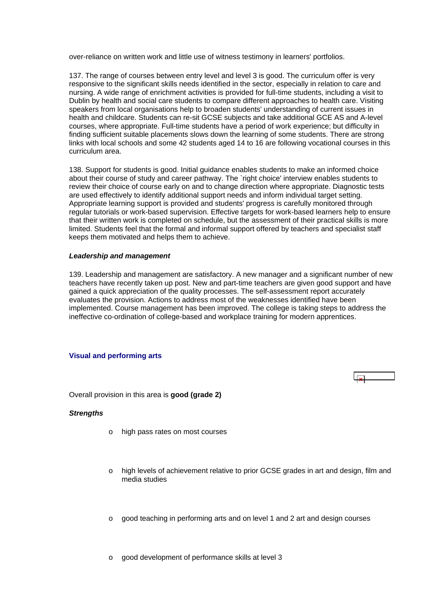<span id="page-45-0"></span>over-reliance on written work and little use of witness testimony in learners' portfolios.

137. The range of courses between entry level and level 3 is good. The curriculum offer is very responsive to the significant skills needs identified in the sector, especially in relation to care and nursing. A wide range of enrichment activities is provided for full-time students, including a visit to Dublin by health and social care students to compare different approaches to health care. Visiting speakers from local organisations help to broaden students' understanding of current issues in health and childcare. Students can re-sit GCSE subjects and take additional GCE AS and A-level courses, where appropriate. Full-time students have a period of work experience; but difficulty in finding sufficient suitable placements slows down the learning of some students. There are strong links with local schools and some 42 students aged 14 to 16 are following vocational courses in this curriculum area.

138. Support for students is good. Initial guidance enables students to make an informed choice about their course of study and career pathway. The `right choice' interview enables students to review their choice of course early on and to change direction where appropriate. Diagnostic tests are used effectively to identify additional support needs and inform individual target setting. Appropriate learning support is provided and students' progress is carefully monitored through regular tutorials or work-based supervision. Effective targets for work-based learners help to ensure that their written work is completed on schedule, but the assessment of their practical skills is more limited. Students feel that the formal and informal support offered by teachers and specialist staff keeps them motivated and helps them to achieve.

#### *Leadership and management*

139. Leadership and management are satisfactory. A new manager and a significant number of new teachers have recently taken up post. New and part-time teachers are given good support and have gained a quick appreciation of the quality processes. The self-assessment report accurately evaluates the provision. Actions to address most of the weaknesses identified have been implemented. Course management has been improved. The college is taking steps to address the ineffective co-ordination of college-based and workplace training for modern apprentices.

#### **Visual and performing arts**



Overall provision in this area is **good (grade 2)**

#### *Strengths*

- o high pass rates on most courses
- o high levels of achievement relative to prior GCSE grades in art and design, film and media studies
- o good teaching in performing arts and on level 1 and 2 art and design courses
- o good development of performance skills at level 3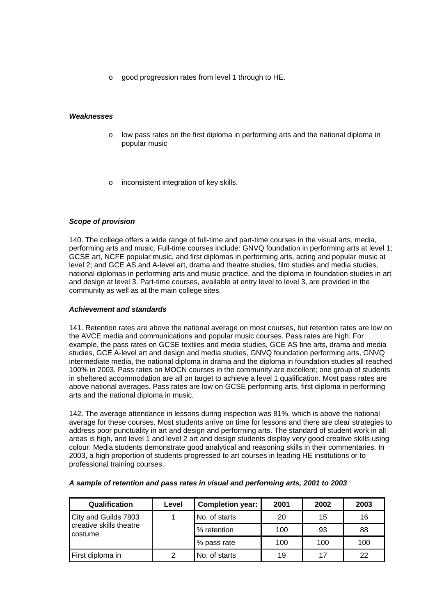o good progression rates from level 1 through to HE.

## *Weaknesses*

- o low pass rates on the first diploma in performing arts and the national diploma in popular music
- inconsistent integration of key skills.

## *Scope of provision*

140. The college offers a wide range of full-time and part-time courses in the visual arts, media, performing arts and music. Full-time courses include: GNVQ foundation in performing arts at level 1; GCSE art, NCFE popular music, and first diplomas in performing arts, acting and popular music at level 2; and GCE AS and A-level art, drama and theatre studies, film studies and media studies, national diplomas in performing arts and music practice, and the diploma in foundation studies in art and design at level 3. Part-time courses, available at entry level to level 3, are provided in the community as well as at the main college sites.

## *Achievement and standards*

141. Retention rates are above the national average on most courses, but retention rates are low on the AVCE media and communications and popular music courses. Pass rates are high. For example, the pass rates on GCSE textiles and media studies, GCE AS fine arts, drama and media studies, GCE A-level art and design and media studies, GNVQ foundation performing arts, GNVQ intermediate media, the national diploma in drama and the diploma in foundation studies all reached 100% in 2003. Pass rates on MOCN courses in the community are excellent; one group of students in sheltered accommodation are all on target to achieve a level 1 qualification. Most pass rates are above national averages. Pass rates are low on GCSE performing arts, first diploma in performing arts and the national diploma in music.

142. The average attendance in lessons during inspection was 81%, which is above the national average for these courses. Most students arrive on time for lessons and there are clear strategies to address poor punctuality in art and design and performing arts. The standard of student work in all areas is high, and level 1 and level 2 art and design students display very good creative skills using colour. Media students demonstrate good analytical and reasoning skills in their commentaries. In 2003, a high proportion of students progressed to art courses in leading HE institutions or to professional training courses.

| Qualification                      | Level | <b>Completion year:</b> | 2001 | 2002 | 2003 |
|------------------------------------|-------|-------------------------|------|------|------|
| City and Guilds 7803               |       | No. of starts           | 20   | 15   | 16   |
| creative skills theatre<br>costume |       | % retention             | 100  | 93   | 88   |
|                                    |       | % pass rate             | 100  | 100  | 100  |
| First diploma in                   | 2     | No. of starts           | 19   | 17   | 22   |

#### *A sample of retention and pass rates in visual and performing arts, 2001 to 2003*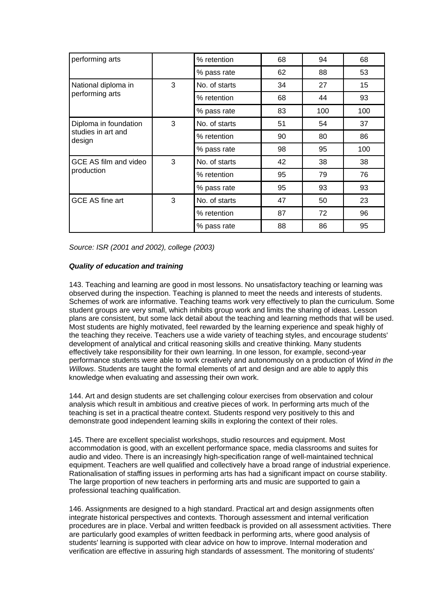| performing arts              |   | % retention   | 68 | 94  | 68  |
|------------------------------|---|---------------|----|-----|-----|
|                              |   | % pass rate   | 62 | 88  | 53  |
| National diploma in          | 3 | No. of starts | 34 | 27  | 15  |
| performing arts              |   | % retention   | 68 | 44  | 93  |
|                              |   | % pass rate   | 83 | 100 | 100 |
| Diploma in foundation        | 3 | No. of starts | 51 | 54  | 37  |
| studies in art and<br>design |   | % retention   | 90 | 80  | 86  |
|                              |   | % pass rate   | 98 | 95  | 100 |
| GCE AS film and video        | 3 | No. of starts | 42 | 38  | 38  |
| production                   |   | % retention   | 95 | 79  | 76  |
|                              |   | % pass rate   | 95 | 93  | 93  |
| GCE AS fine art              | 3 | No. of starts | 47 | 50  | 23  |
|                              |   | % retention   | 87 | 72  | 96  |
|                              |   | % pass rate   | 88 | 86  | 95  |

*Source: ISR (2001 and 2002), college (2003)*

## *Quality of education and training*

143. Teaching and learning are good in most lessons. No unsatisfactory teaching or learning was observed during the inspection. Teaching is planned to meet the needs and interests of students. Schemes of work are informative. Teaching teams work very effectively to plan the curriculum. Some student groups are very small, which inhibits group work and limits the sharing of ideas. Lesson plans are consistent, but some lack detail about the teaching and learning methods that will be used. Most students are highly motivated, feel rewarded by the learning experience and speak highly of the teaching they receive. Teachers use a wide variety of teaching styles, and encourage students' development of analytical and critical reasoning skills and creative thinking. Many students effectively take responsibility for their own learning. In one lesson, for example, second-year performance students were able to work creatively and autonomously on a production of *Wind in the Willows*. Students are taught the formal elements of art and design and are able to apply this knowledge when evaluating and assessing their own work.

144. Art and design students are set challenging colour exercises from observation and colour analysis which result in ambitious and creative pieces of work. In performing arts much of the teaching is set in a practical theatre context. Students respond very positively to this and demonstrate good independent learning skills in exploring the context of their roles.

145. There are excellent specialist workshops, studio resources and equipment. Most accommodation is good, with an excellent performance space, media classrooms and suites for audio and video. There is an increasingly high-specification range of well-maintained technical equipment. Teachers are well qualified and collectively have a broad range of industrial experience. Rationalisation of staffing issues in performing arts has had a significant impact on course stability. The large proportion of new teachers in performing arts and music are supported to gain a professional teaching qualification.

146. Assignments are designed to a high standard. Practical art and design assignments often integrate historical perspectives and contexts. Thorough assessment and internal verification procedures are in place. Verbal and written feedback is provided on all assessment activities. There are particularly good examples of written feedback in performing arts, where good analysis of students' learning is supported with clear advice on how to improve. Internal moderation and verification are effective in assuring high standards of assessment. The monitoring of students'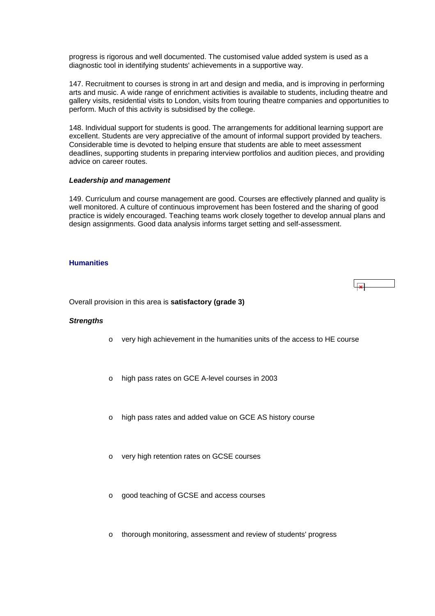<span id="page-48-0"></span>progress is rigorous and well documented. The customised value added system is used as a diagnostic tool in identifying students' achievements in a supportive way.

147. Recruitment to courses is strong in art and design and media, and is improving in performing arts and music. A wide range of enrichment activities is available to students, including theatre and gallery visits, residential visits to London, visits from touring theatre companies and opportunities to perform. Much of this activity is subsidised by the college.

148. Individual support for students is good. The arrangements for additional learning support are excellent. Students are very appreciative of the amount of informal support provided by teachers. Considerable time is devoted to helping ensure that students are able to meet assessment deadlines, supporting students in preparing interview portfolios and audition pieces, and providing advice on career routes.

#### *Leadership and management*

149. Curriculum and course management are good. Courses are effectively planned and quality is well monitored. A culture of continuous improvement has been fostered and the sharing of good practice is widely encouraged. Teaching teams work closely together to develop annual plans and design assignments. Good data analysis informs target setting and self-assessment.

## **Humanities**

Overall provision in this area is **satisfactory (grade 3)**

#### *Strengths*

- o very high achievement in the humanities units of the access to HE course
- o high pass rates on GCE A-level courses in 2003
- o high pass rates and added value on GCE AS history course
- o very high retention rates on GCSE courses
- o good teaching of GCSE and access courses
- o thorough monitoring, assessment and review of students' progress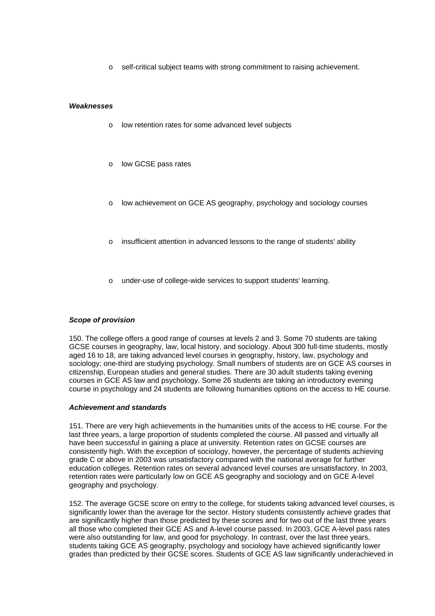self-critical subject teams with strong commitment to raising achievement.

#### *Weaknesses*

- o low retention rates for some advanced level subjects
- o low GCSE pass rates
- low achievement on GCE AS geography, psychology and sociology courses
- insufficient attention in advanced lessons to the range of students' ability
- under-use of college-wide services to support students' learning.

## *Scope of provision*

150. The college offers a good range of courses at levels 2 and 3. Some 70 students are taking GCSE courses in geography, law, local history, and sociology. About 300 full-time students, mostly aged 16 to 18, are taking advanced level courses in geography, history, law, psychology and sociology; one-third are studying psychology. Small numbers of students are on GCE AS courses in citizenship, European studies and general studies. There are 30 adult students taking evening courses in GCE AS law and psychology. Some 26 students are taking an introductory evening course in psychology and 24 students are following humanities options on the access to HE course.

#### *Achievement and standards*

151. There are very high achievements in the humanities units of the access to HE course. For the last three years, a large proportion of students completed the course. All passed and virtually all have been successful in gaining a place at university. Retention rates on GCSE courses are consistently high. With the exception of sociology, however, the percentage of students achieving grade C or above in 2003 was unsatisfactory compared with the national average for further education colleges. Retention rates on several advanced level courses are unsatisfactory. In 2003, retention rates were particularly low on GCE AS geography and sociology and on GCE A-level geography and psychology.

152. The average GCSE score on entry to the college, for students taking advanced level courses, is significantly lower than the average for the sector. History students consistently achieve grades that are significantly higher than those predicted by these scores and for two out of the last three years all those who completed their GCE AS and A-level course passed. In 2003, GCE A-level pass rates were also outstanding for law, and good for psychology. In contrast, over the last three years, students taking GCE AS geography, psychology and sociology have achieved significantly lower grades than predicted by their GCSE scores. Students of GCE AS law significantly underachieved in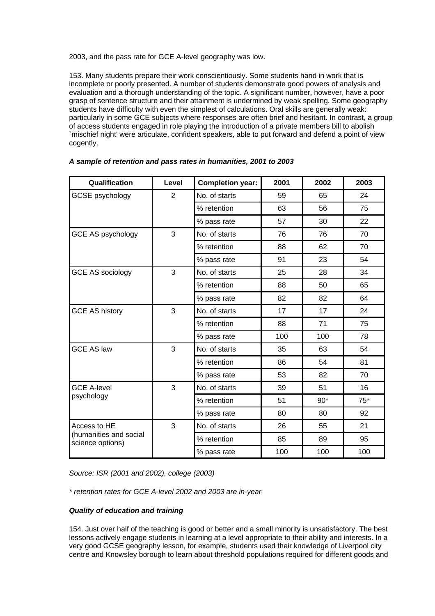2003, and the pass rate for GCE A-level geography was low.

153. Many students prepare their work conscientiously. Some students hand in work that is incomplete or poorly presented. A number of students demonstrate good powers of analysis and evaluation and a thorough understanding of the topic. A significant number, however, have a poor grasp of sentence structure and their attainment is undermined by weak spelling. Some geography students have difficulty with even the simplest of calculations. Oral skills are generally weak: particularly in some GCE subjects where responses are often brief and hesitant. In contrast, a group of access students engaged in role playing the introduction of a private members bill to abolish `mischief night' were articulate, confident speakers, able to put forward and defend a point of view cogently.

| Qualification                              | Level          | <b>Completion year:</b> | 2001 | 2002  | 2003  |
|--------------------------------------------|----------------|-------------------------|------|-------|-------|
| <b>GCSE</b> psychology                     | $\overline{2}$ | No. of starts           | 59   | 65    | 24    |
|                                            |                | % retention             | 63   | 56    | 75    |
|                                            |                | % pass rate             | 57   | 30    | 22    |
| <b>GCE AS psychology</b>                   | 3              | No. of starts           | 76   | 76    | 70    |
|                                            |                | % retention             | 88   | 62    | 70    |
|                                            |                | % pass rate             | 91   | 23    | 54    |
| <b>GCE AS sociology</b>                    | 3              | No. of starts           | 25   | 28    | 34    |
|                                            |                | % retention             | 88   | 50    | 65    |
|                                            |                | % pass rate             | 82   | 82    | 64    |
| <b>GCE AS history</b>                      | 3              | No. of starts           | 17   | 17    | 24    |
|                                            |                | % retention             | 88   | 71    | 75    |
|                                            |                | % pass rate             | 100  | 100   | 78    |
| <b>GCE AS law</b>                          | 3              | No. of starts           | 35   | 63    | 54    |
|                                            |                | % retention             | 86   | 54    | 81    |
|                                            |                | % pass rate             | 53   | 82    | 70    |
| <b>GCE A-level</b>                         | 3              | No. of starts           | 39   | 51    | 16    |
| psychology                                 |                | % retention             | 51   | $90*$ | $75*$ |
|                                            |                | % pass rate             | 80   | 80    | 92    |
| Access to HE                               | 3              | No. of starts           | 26   | 55    | 21    |
| (humanities and social<br>science options) |                | % retention             | 85   | 89    | 95    |
|                                            |                | % pass rate             | 100  | 100   | 100   |

*A sample of retention and pass rates in humanities, 2001 to 2003*

*Source: ISR (2001 and 2002), college (2003)*

*\* retention rates for GCE A-level 2002 and 2003 are in-year*

## *Quality of education and training*

154. Just over half of the teaching is good or better and a small minority is unsatisfactory. The best lessons actively engage students in learning at a level appropriate to their ability and interests. In a very good GCSE geography lesson, for example, students used their knowledge of Liverpool city centre and Knowsley borough to learn about threshold populations required for different goods and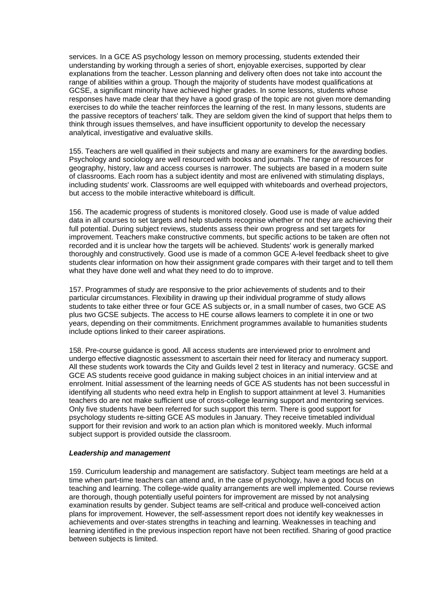services. In a GCE AS psychology lesson on memory processing, students extended their understanding by working through a series of short, enjoyable exercises, supported by clear explanations from the teacher. Lesson planning and delivery often does not take into account the range of abilities within a group. Though the majority of students have modest qualifications at GCSE, a significant minority have achieved higher grades. In some lessons, students whose responses have made clear that they have a good grasp of the topic are not given more demanding exercises to do while the teacher reinforces the learning of the rest. In many lessons, students are the passive receptors of teachers' talk. They are seldom given the kind of support that helps them to think through issues themselves, and have insufficient opportunity to develop the necessary analytical, investigative and evaluative skills.

155. Teachers are well qualified in their subjects and many are examiners for the awarding bodies. Psychology and sociology are well resourced with books and journals. The range of resources for geography, history, law and access courses is narrower. The subjects are based in a modern suite of classrooms. Each room has a subject identity and most are enlivened with stimulating displays, including students' work. Classrooms are well equipped with whiteboards and overhead projectors, but access to the mobile interactive whiteboard is difficult.

156. The academic progress of students is monitored closely. Good use is made of value added data in all courses to set targets and help students recognise whether or not they are achieving their full potential. During subject reviews, students assess their own progress and set targets for improvement. Teachers make constructive comments, but specific actions to be taken are often not recorded and it is unclear how the targets will be achieved. Students' work is generally marked thoroughly and constructively. Good use is made of a common GCE A-level feedback sheet to give students clear information on how their assignment grade compares with their target and to tell them what they have done well and what they need to do to improve.

157. Programmes of study are responsive to the prior achievements of students and to their particular circumstances. Flexibility in drawing up their individual programme of study allows students to take either three or four GCE AS subjects or, in a small number of cases, two GCE AS plus two GCSE subjects. The access to HE course allows learners to complete it in one or two years, depending on their commitments. Enrichment programmes available to humanities students include options linked to their career aspirations.

158. Pre-course guidance is good. All access students are interviewed prior to enrolment and undergo effective diagnostic assessment to ascertain their need for literacy and numeracy support. All these students work towards the City and Guilds level 2 test in literacy and numeracy. GCSE and GCE AS students receive good guidance in making subject choices in an initial interview and at enrolment. Initial assessment of the learning needs of GCE AS students has not been successful in identifying all students who need extra help in English to support attainment at level 3. Humanities teachers do are not make sufficient use of cross-college learning support and mentoring services. Only five students have been referred for such support this term. There is good support for psychology students re-sitting GCE AS modules in January. They receive timetabled individual support for their revision and work to an action plan which is monitored weekly. Much informal subject support is provided outside the classroom.

#### *Leadership and management*

159. Curriculum leadership and management are satisfactory. Subject team meetings are held at a time when part-time teachers can attend and, in the case of psychology, have a good focus on teaching and learning. The college-wide quality arrangements are well implemented. Course reviews are thorough, though potentially useful pointers for improvement are missed by not analysing examination results by gender. Subject teams are self-critical and produce well-conceived action plans for improvement. However, the self-assessment report does not identify key weaknesses in achievements and over-states strengths in teaching and learning. Weaknesses in teaching and learning identified in the previous inspection report have not been rectified. Sharing of good practice between subjects is limited.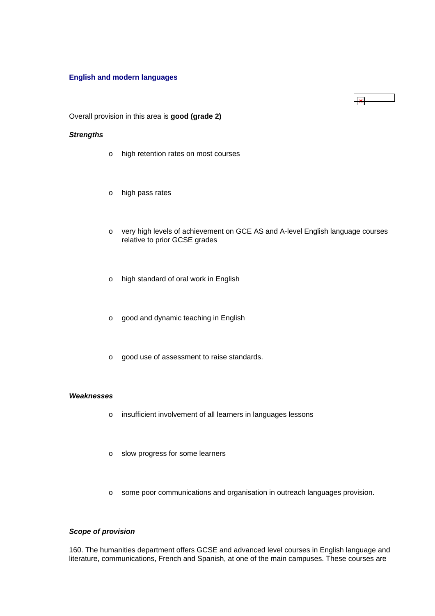## <span id="page-52-0"></span>**English and modern languages**

 $\overline{\mathbf{x}}$ 

Overall provision in this area is **good (grade 2)**

#### *Strengths*

- o high retention rates on most courses
- o high pass rates
- o very high levels of achievement on GCE AS and A-level English language courses relative to prior GCSE grades
- o high standard of oral work in English
- o good and dynamic teaching in English
- o good use of assessment to raise standards.

#### *Weaknesses*

- o insufficient involvement of all learners in languages lessons
- o slow progress for some learners
- o some poor communications and organisation in outreach languages provision.

## *Scope of provision*

160. The humanities department offers GCSE and advanced level courses in English language and literature, communications, French and Spanish, at one of the main campuses. These courses are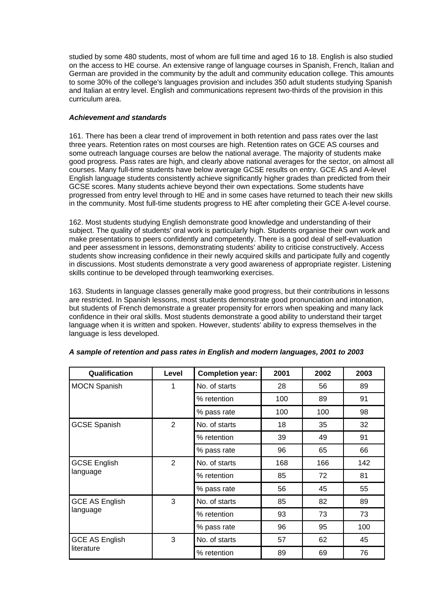studied by some 480 students, most of whom are full time and aged 16 to 18. English is also studied on the access to HE course. An extensive range of language courses in Spanish, French, Italian and German are provided in the community by the adult and community education college. This amounts to some 30% of the college's languages provision and includes 350 adult students studying Spanish and Italian at entry level. English and communications represent two-thirds of the provision in this curriculum area.

## *Achievement and standards*

161. There has been a clear trend of improvement in both retention and pass rates over the last three years. Retention rates on most courses are high. Retention rates on GCE AS courses and some outreach language courses are below the national average. The majority of students make good progress. Pass rates are high, and clearly above national averages for the sector, on almost all courses. Many full-time students have below average GCSE results on entry. GCE AS and A-level English language students consistently achieve significantly higher grades than predicted from their GCSE scores. Many students achieve beyond their own expectations. Some students have progressed from entry level through to HE and in some cases have returned to teach their new skills in the community. Most full-time students progress to HE after completing their GCE A-level course.

162. Most students studying English demonstrate good knowledge and understanding of their subject. The quality of students' oral work is particularly high. Students organise their own work and make presentations to peers confidently and competently. There is a good deal of self-evaluation and peer assessment in lessons, demonstrating students' ability to criticise constructively. Access students show increasing confidence in their newly acquired skills and participate fully and cogently in discussions. Most students demonstrate a very good awareness of appropriate register. Listening skills continue to be developed through teamworking exercises.

163. Students in language classes generally make good progress, but their contributions in lessons are restricted. In Spanish lessons, most students demonstrate good pronunciation and intonation, but students of French demonstrate a greater propensity for errors when speaking and many lack confidence in their oral skills. Most students demonstrate a good ability to understand their target language when it is written and spoken. However, students' ability to express themselves in the language is less developed.

| Qualification         | Level          | <b>Completion year:</b> | 2001 | 2002 | 2003 |
|-----------------------|----------------|-------------------------|------|------|------|
| <b>MOCN Spanish</b>   | 1              | No. of starts           | 28   | 56   | 89   |
|                       |                | % retention             | 100  | 89   | 91   |
|                       |                | % pass rate             | 100  | 100  | 98   |
| <b>GCSE Spanish</b>   | 2              | No. of starts           | 18   | 35   | 32   |
|                       |                | % retention             | 39   | 49   | 91   |
|                       |                | % pass rate             | 96   | 65   | 66   |
| <b>GCSE English</b>   | $\overline{2}$ | No. of starts           | 168  | 166  | 142  |
| language              |                | % retention             | 85   | 72   | 81   |
|                       |                | % pass rate             | 56   | 45   | 55   |
| <b>GCE AS English</b> | 3              | No. of starts           | 85   | 82   | 89   |
| language              |                | % retention             | 93   | 73   | 73   |
|                       |                | % pass rate             | 96   | 95   | 100  |
| <b>GCE AS English</b> | 3              | No. of starts           | 57   | 62   | 45   |
| literature            |                | % retention             | 89   | 69   | 76   |

#### *A sample of retention and pass rates in English and modern languages, 2001 to 2003*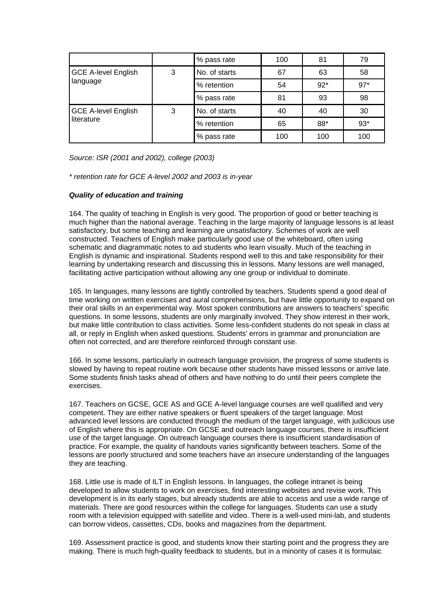|                            |   | % pass rate   | 100 | 81    | 79    |
|----------------------------|---|---------------|-----|-------|-------|
| <b>GCE A-level English</b> | 3 | No. of starts | 67  | 63    | 58    |
| language                   |   | % retention   | 54  | $92*$ | $97*$ |
|                            |   | % pass rate   | 81  | 93    | 98    |
| <b>GCE A-level English</b> | 3 | No. of starts | 40  | 40    | 30    |
| literature                 |   | % retention   | 65  | 88*   | $93*$ |
|                            |   | % pass rate   | 100 | 100   | 100   |

*Source: ISR (2001 and 2002), college (2003)*

*\* retention rate for GCE A-level 2002 and 2003 is in-year*

## *Quality of education and training*

164. The quality of teaching in English is very good. The proportion of good or better teaching is much higher than the national average. Teaching in the large majority of language lessons is at least satisfactory, but some teaching and learning are unsatisfactory. Schemes of work are well constructed. Teachers of English make particularly good use of the whiteboard, often using schematic and diagrammatic notes to aid students who learn visually. Much of the teaching in English is dynamic and inspirational. Students respond well to this and take responsibility for their learning by undertaking research and discussing this in lessons. Many lessons are well managed, facilitating active participation without allowing any one group or individual to dominate.

165. In languages, many lessons are tightly controlled by teachers. Students spend a good deal of time working on written exercises and aural comprehensions, but have little opportunity to expand on their oral skills in an experimental way. Most spoken contributions are answers to teachers' specific questions. In some lessons, students are only marginally involved. They show interest in their work, but make little contribution to class activities. Some less-confident students do not speak in class at all, or reply in English when asked questions. Students' errors in grammar and pronunciation are often not corrected, and are therefore reinforced through constant use.

166. In some lessons, particularly in outreach language provision, the progress of some students is slowed by having to repeat routine work because other students have missed lessons or arrive late. Some students finish tasks ahead of others and have nothing to do until their peers complete the exercises.

167. Teachers on GCSE, GCE AS and GCE A-level language courses are well qualified and very competent. They are either native speakers or fluent speakers of the target language. Most advanced level lessons are conducted through the medium of the target language, with judicious use of English where this is appropriate. On GCSE and outreach language courses, there is insufficient use of the target language. On outreach language courses there is insufficient standardisation of practice. For example, the quality of handouts varies significantly between teachers. Some of the lessons are poorly structured and some teachers have an insecure understanding of the languages they are teaching.

168. Little use is made of ILT in English lessons. In languages, the college intranet is being developed to allow students to work on exercises, find interesting websites and revise work. This development is in its early stages, but already students are able to access and use a wide range of materials. There are good resources within the college for languages. Students can use a study room with a television equipped with satellite and video. There is a well-used mini-lab, and students can borrow videos, cassettes, CDs, books and magazines from the department.

169. Assessment practice is good, and students know their starting point and the progress they are making. There is much high-quality feedback to students, but in a minority of cases it is formulaic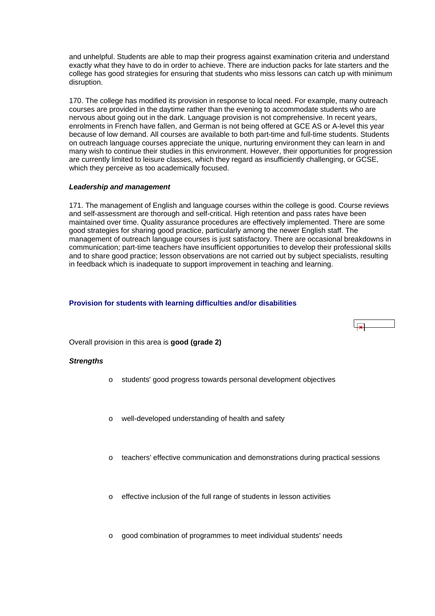<span id="page-55-0"></span>and unhelpful. Students are able to map their progress against examination criteria and understand exactly what they have to do in order to achieve. There are induction packs for late starters and the college has good strategies for ensuring that students who miss lessons can catch up with minimum disruption.

170. The college has modified its provision in response to local need. For example, many outreach courses are provided in the daytime rather than the evening to accommodate students who are nervous about going out in the dark. Language provision is not comprehensive. In recent years, enrolments in French have fallen, and German is not being offered at GCE AS or A-level this year because of low demand. All courses are available to both part-time and full-time students. Students on outreach language courses appreciate the unique, nurturing environment they can learn in and many wish to continue their studies in this environment. However, their opportunities for progression are currently limited to leisure classes, which they regard as insufficiently challenging, or GCSE, which they perceive as too academically focused.

#### *Leadership and management*

171. The management of English and language courses within the college is good. Course reviews and self-assessment are thorough and self-critical. High retention and pass rates have been maintained over time. Quality assurance procedures are effectively implemented. There are some good strategies for sharing good practice, particularly among the newer English staff. The management of outreach language courses is just satisfactory. There are occasional breakdowns in communication; part-time teachers have insufficient opportunities to develop their professional skills and to share good practice; lesson observations are not carried out by subject specialists, resulting in feedback which is inadequate to support improvement in teaching and learning.

## **Provision for students with learning difficulties and/or disabilities**



Overall provision in this area is **good (grade 2)**

#### *Strengths*

- o students' good progress towards personal development objectives
- o well-developed understanding of health and safety
- $\circ$  teachers' effective communication and demonstrations during practical sessions
- o effective inclusion of the full range of students in lesson activities
- o good combination of programmes to meet individual students' needs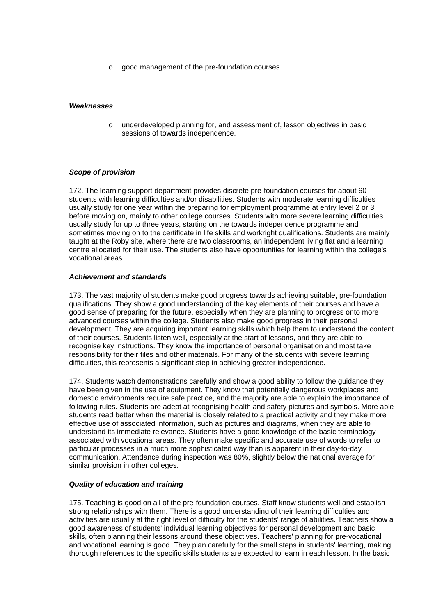o good management of the pre-foundation courses.

#### *Weaknesses*

o underdeveloped planning for, and assessment of, lesson objectives in basic sessions of towards independence.

#### *Scope of provision*

172. The learning support department provides discrete pre-foundation courses for about 60 students with learning difficulties and/or disabilities. Students with moderate learning difficulties usually study for one year within the preparing for employment programme at entry level 2 or 3 before moving on, mainly to other college courses. Students with more severe learning difficulties usually study for up to three years, starting on the towards independence programme and sometimes moving on to the certificate in life skills and workright qualifications. Students are mainly taught at the Roby site, where there are two classrooms, an independent living flat and a learning centre allocated for their use. The students also have opportunities for learning within the college's vocational areas.

#### *Achievement and standards*

173. The vast majority of students make good progress towards achieving suitable, pre-foundation qualifications. They show a good understanding of the key elements of their courses and have a good sense of preparing for the future, especially when they are planning to progress onto more advanced courses within the college. Students also make good progress in their personal development. They are acquiring important learning skills which help them to understand the content of their courses. Students listen well, especially at the start of lessons, and they are able to recognise key instructions. They know the importance of personal organisation and most take responsibility for their files and other materials. For many of the students with severe learning difficulties, this represents a significant step in achieving greater independence.

174. Students watch demonstrations carefully and show a good ability to follow the guidance they have been given in the use of equipment. They know that potentially dangerous workplaces and domestic environments require safe practice, and the majority are able to explain the importance of following rules. Students are adept at recognising health and safety pictures and symbols. More able students read better when the material is closely related to a practical activity and they make more effective use of associated information, such as pictures and diagrams, when they are able to understand its immediate relevance. Students have a good knowledge of the basic terminology associated with vocational areas. They often make specific and accurate use of words to refer to particular processes in a much more sophisticated way than is apparent in their day-to-day communication. Attendance during inspection was 80%, slightly below the national average for similar provision in other colleges.

#### *Quality of education and training*

175. Teaching is good on all of the pre-foundation courses. Staff know students well and establish strong relationships with them. There is a good understanding of their learning difficulties and activities are usually at the right level of difficulty for the students' range of abilities. Teachers show a good awareness of students' individual learning objectives for personal development and basic skills, often planning their lessons around these objectives. Teachers' planning for pre-vocational and vocational learning is good. They plan carefully for the small steps in students' learning, making thorough references to the specific skills students are expected to learn in each lesson. In the basic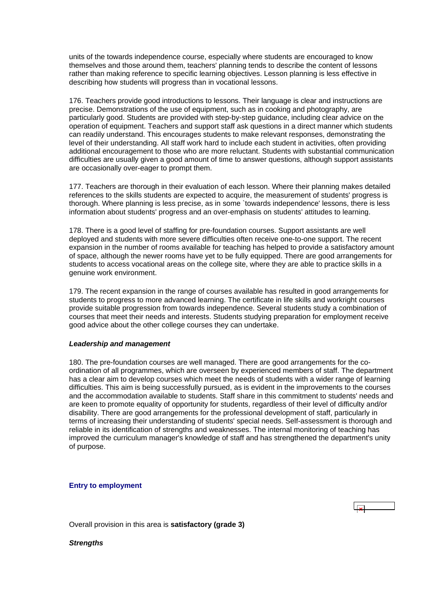<span id="page-57-0"></span>units of the towards independence course, especially where students are encouraged to know themselves and those around them, teachers' planning tends to describe the content of lessons rather than making reference to specific learning objectives. Lesson planning is less effective in describing how students will progress than in vocational lessons.

176. Teachers provide good introductions to lessons. Their language is clear and instructions are precise. Demonstrations of the use of equipment, such as in cooking and photography, are particularly good. Students are provided with step-by-step guidance, including clear advice on the operation of equipment. Teachers and support staff ask questions in a direct manner which students can readily understand. This encourages students to make relevant responses, demonstrating the level of their understanding. All staff work hard to include each student in activities, often providing additional encouragement to those who are more reluctant. Students with substantial communication difficulties are usually given a good amount of time to answer questions, although support assistants are occasionally over-eager to prompt them.

177. Teachers are thorough in their evaluation of each lesson. Where their planning makes detailed references to the skills students are expected to acquire, the measurement of students' progress is thorough. Where planning is less precise, as in some `towards independence' lessons, there is less information about students' progress and an over-emphasis on students' attitudes to learning.

178. There is a good level of staffing for pre-foundation courses. Support assistants are well deployed and students with more severe difficulties often receive one-to-one support. The recent expansion in the number of rooms available for teaching has helped to provide a satisfactory amount of space, although the newer rooms have yet to be fully equipped. There are good arrangements for students to access vocational areas on the college site, where they are able to practice skills in a genuine work environment.

179. The recent expansion in the range of courses available has resulted in good arrangements for students to progress to more advanced learning. The certificate in life skills and workright courses provide suitable progression from towards independence. Several students study a combination of courses that meet their needs and interests. Students studying preparation for employment receive good advice about the other college courses they can undertake.

#### *Leadership and management*

180. The pre-foundation courses are well managed. There are good arrangements for the coordination of all programmes, which are overseen by experienced members of staff. The department has a clear aim to develop courses which meet the needs of students with a wider range of learning difficulties. This aim is being successfully pursued, as is evident in the improvements to the courses and the accommodation available to students. Staff share in this commitment to students' needs and are keen to promote equality of opportunity for students, regardless of their level of difficulty and/or disability. There are good arrangements for the professional development of staff, particularly in terms of increasing their understanding of students' special needs. Self-assessment is thorough and reliable in its identification of strengths and weaknesses. The internal monitoring of teaching has improved the curriculum manager's knowledge of staff and has strengthened the department's unity of purpose.

## **Entry to employment**

Overall provision in this area is **satisfactory (grade 3)**

*Strengths*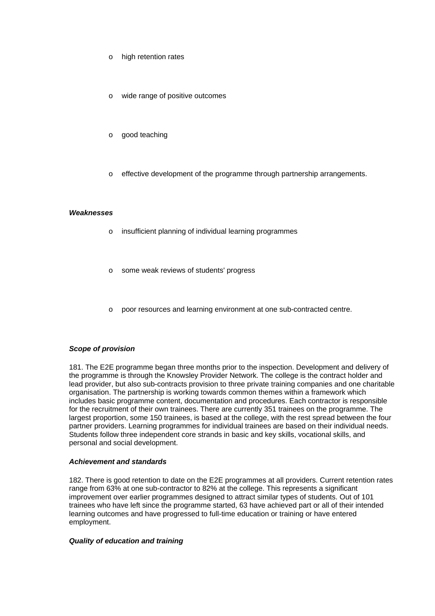- o high retention rates
- wide range of positive outcomes
- o good teaching
- o effective development of the programme through partnership arrangements.

#### *Weaknesses*

- o insufficient planning of individual learning programmes
- o some weak reviews of students' progress
- o poor resources and learning environment at one sub-contracted centre.

#### *Scope of provision*

181. The E2E programme began three months prior to the inspection. Development and delivery of the programme is through the Knowsley Provider Network. The college is the contract holder and lead provider, but also sub-contracts provision to three private training companies and one charitable organisation. The partnership is working towards common themes within a framework which includes basic programme content, documentation and procedures. Each contractor is responsible for the recruitment of their own trainees. There are currently 351 trainees on the programme. The largest proportion, some 150 trainees, is based at the college, with the rest spread between the four partner providers. Learning programmes for individual trainees are based on their individual needs. Students follow three independent core strands in basic and key skills, vocational skills, and personal and social development.

#### *Achievement and standards*

182. There is good retention to date on the E2E programmes at all providers. Current retention rates range from 63% at one sub-contractor to 82% at the college. This represents a significant improvement over earlier programmes designed to attract similar types of students. Out of 101 trainees who have left since the programme started, 63 have achieved part or all of their intended learning outcomes and have progressed to full-time education or training or have entered employment.

#### *Quality of education and training*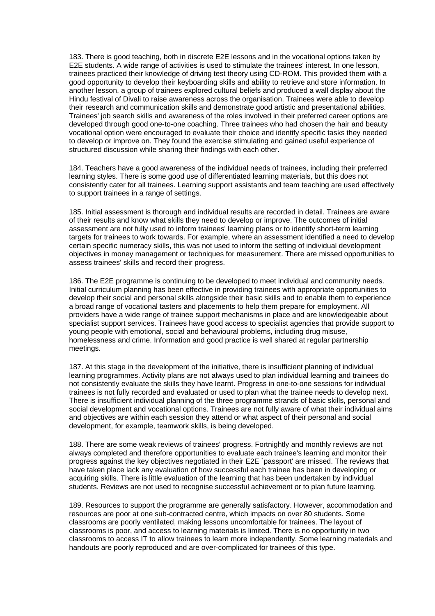183. There is good teaching, both in discrete E2E lessons and in the vocational options taken by E2E students. A wide range of activities is used to stimulate the trainees' interest. In one lesson, trainees practiced their knowledge of driving test theory using CD-ROM. This provided them with a good opportunity to develop their keyboarding skills and ability to retrieve and store information. In another lesson, a group of trainees explored cultural beliefs and produced a wall display about the Hindu festival of Divali to raise awareness across the organisation. Trainees were able to develop their research and communication skills and demonstrate good artistic and presentational abilities. Trainees' job search skills and awareness of the roles involved in their preferred career options are developed through good one-to-one coaching. Three trainees who had chosen the hair and beauty vocational option were encouraged to evaluate their choice and identify specific tasks they needed to develop or improve on. They found the exercise stimulating and gained useful experience of structured discussion while sharing their findings with each other.

184. Teachers have a good awareness of the individual needs of trainees, including their preferred learning styles. There is some good use of differentiated learning materials, but this does not consistently cater for all trainees. Learning support assistants and team teaching are used effectively to support trainees in a range of settings.

185. Initial assessment is thorough and individual results are recorded in detail. Trainees are aware of their results and know what skills they need to develop or improve. The outcomes of initial assessment are not fully used to inform trainees' learning plans or to identify short-term learning targets for trainees to work towards. For example, where an assessment identified a need to develop certain specific numeracy skills, this was not used to inform the setting of individual development objectives in money management or techniques for measurement. There are missed opportunities to assess trainees' skills and record their progress.

186. The E2E programme is continuing to be developed to meet individual and community needs. Initial curriculum planning has been effective in providing trainees with appropriate opportunities to develop their social and personal skills alongside their basic skills and to enable them to experience a broad range of vocational tasters and placements to help them prepare for employment. All providers have a wide range of trainee support mechanisms in place and are knowledgeable about specialist support services. Trainees have good access to specialist agencies that provide support to young people with emotional, social and behavioural problems, including drug misuse, homelessness and crime. Information and good practice is well shared at regular partnership meetings.

187. At this stage in the development of the initiative, there is insufficient planning of individual learning programmes. Activity plans are not always used to plan individual learning and trainees do not consistently evaluate the skills they have learnt. Progress in one-to-one sessions for individual trainees is not fully recorded and evaluated or used to plan what the trainee needs to develop next. There is insufficient individual planning of the three programme strands of basic skills, personal and social development and vocational options. Trainees are not fully aware of what their individual aims and objectives are within each session they attend or what aspect of their personal and social development, for example, teamwork skills, is being developed.

188. There are some weak reviews of trainees' progress. Fortnightly and monthly reviews are not always completed and therefore opportunities to evaluate each trainee's learning and monitor their progress against the key objectives negotiated in their E2E `passport' are missed. The reviews that have taken place lack any evaluation of how successful each trainee has been in developing or acquiring skills. There is little evaluation of the learning that has been undertaken by individual students. Reviews are not used to recognise successful achievement or to plan future learning.

189. Resources to support the programme are generally satisfactory. However, accommodation and resources are poor at one sub-contracted centre, which impacts on over 80 students. Some classrooms are poorly ventilated, making lessons uncomfortable for trainees. The layout of classrooms is poor, and access to learning materials is limited. There is no opportunity in two classrooms to access IT to allow trainees to learn more independently. Some learning materials and handouts are poorly reproduced and are over-complicated for trainees of this type.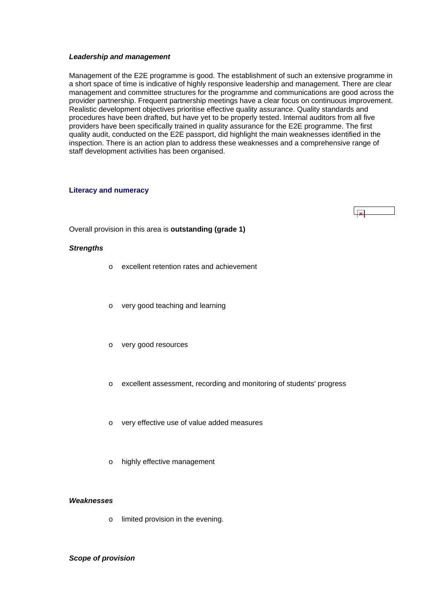#### <span id="page-60-0"></span>*Leadership and management*

Management of the E2E programme is good. The establishment of such an extensive programme in a short space of time is indicative of highly responsive leadership and management. There are clear management and committee structures for the programme and communications are good across the provider partnership. Frequent partnership meetings have a clear focus on continuous improvement. Realistic development objectives prioritise effective quality assurance. Quality standards and procedures have been drafted, but have yet to be properly tested. Internal auditors from all five providers have been specifically trained in quality assurance for the E2E programme. The first quality audit, conducted on the E2E passport, did highlight the main weaknesses identified in the inspection. There is an action plan to address these weaknesses and a comprehensive range of staff development activities has been organised.

#### **Literacy and numeracy**

العجليا

Overall provision in this area is **outstanding (grade 1)**

#### *Strengths*

- o excellent retention rates and achievement
- o very good teaching and learning
- o very good resources
- o excellent assessment, recording and monitoring of students' progress
- o very effective use of value added measures
- o highly effective management

#### *Weaknesses*

o limited provision in the evening.

## *Scope of provision*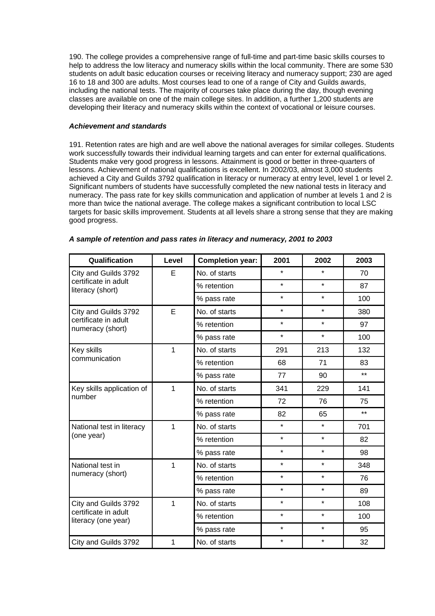190. The college provides a comprehensive range of full-time and part-time basic skills courses to help to address the low literacy and numeracy skills within the local community. There are some 530 students on adult basic education courses or receiving literacy and numeracy support; 230 are aged 16 to 18 and 300 are adults. Most courses lead to one of a range of City and Guilds awards, including the national tests. The majority of courses take place during the day, though evening classes are available on one of the main college sites. In addition, a further 1,200 students are developing their literacy and numeracy skills within the context of vocational or leisure courses.

## *Achievement and standards*

191. Retention rates are high and are well above the national averages for similar colleges. Students work successfully towards their individual learning targets and can enter for external qualifications. Students make very good progress in lessons. Attainment is good or better in three-quarters of lessons. Achievement of national qualifications is excellent. In 2002/03, almost 3,000 students achieved a City and Guilds 3792 qualification in literacy or numeracy at entry level, level 1 or level 2. Significant numbers of students have successfully completed the new national tests in literacy and numeracy. The pass rate for key skills communication and application of number at levels 1 and 2 is more than twice the national average. The college makes a significant contribution to local LSC targets for basic skills improvement. Students at all levels share a strong sense that they are making good progress.

| Qualification                                                       | Level | <b>Completion year:</b> | 2001    | 2002    | 2003  |
|---------------------------------------------------------------------|-------|-------------------------|---------|---------|-------|
| City and Guilds 3792                                                | E     | No. of starts           | $\star$ | $\star$ | 70    |
| certificate in adult<br>literacy (short)                            |       | % retention             | $\star$ | $\star$ | 87    |
|                                                                     |       | % pass rate             | $\star$ | $\star$ | 100   |
| City and Guilds 3792                                                | E     | No. of starts           | $\star$ | $\star$ | 380   |
| certificate in adult<br>numeracy (short)                            |       | % retention             | $\star$ | $\star$ | 97    |
|                                                                     |       | % pass rate             | $\star$ | $\star$ | 100   |
| Key skills                                                          | 1     | No. of starts           | 291     | 213     | 132   |
| communication                                                       |       | % retention             | 68      | 71      | 83    |
|                                                                     |       | % pass rate             | 77      | 90      | $***$ |
| Key skills application of                                           | 1     | No. of starts           | 341     | 229     | 141   |
| number                                                              |       | % retention             | 72      | 76      | 75    |
|                                                                     |       | % pass rate             | 82      | 65      | $***$ |
| National test in literacy                                           | 1     | No. of starts           | $\star$ | $\star$ | 701   |
| (one year)                                                          |       | % retention             | $\star$ | $\star$ | 82    |
|                                                                     |       | % pass rate             | $\star$ | $\star$ | 98    |
| National test in                                                    | 1     | No. of starts           | $\star$ | $\star$ | 348   |
| numeracy (short)                                                    |       | % retention             | $\star$ | $\star$ | 76    |
|                                                                     |       | % pass rate             | $\star$ | $\star$ | 89    |
| City and Guilds 3792<br>certificate in adult<br>literacy (one year) | 1     | No. of starts           | $\star$ | $\star$ | 108   |
|                                                                     |       | % retention             | $\star$ | $\star$ | 100   |
|                                                                     |       | % pass rate             | $\star$ | $\star$ | 95    |
| City and Guilds 3792                                                | 1     | No. of starts           | $\star$ | $\star$ | 32    |

#### *A sample of retention and pass rates in literacy and numeracy, 2001 to 2003*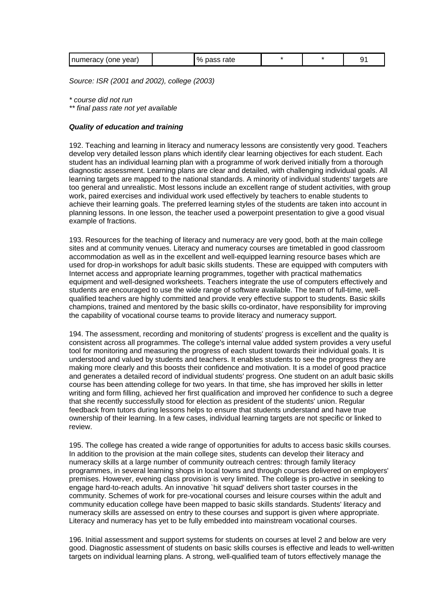*Source: ISR (2001 and 2002), college (2003)*

*\* course did not run* 

*\*\* final pass rate not yet available*

## *Quality of education and training*

192. Teaching and learning in literacy and numeracy lessons are consistently very good. Teachers develop very detailed lesson plans which identify clear learning objectives for each student. Each student has an individual learning plan with a programme of work derived initially from a thorough diagnostic assessment. Learning plans are clear and detailed, with challenging individual goals. All learning targets are mapped to the national standards. A minority of individual students' targets are too general and unrealistic. Most lessons include an excellent range of student activities, with group work, paired exercises and individual work used effectively by teachers to enable students to achieve their learning goals. The preferred learning styles of the students are taken into account in planning lessons. In one lesson, the teacher used a powerpoint presentation to give a good visual example of fractions.

193. Resources for the teaching of literacy and numeracy are very good, both at the main college sites and at community venues. Literacy and numeracy courses are timetabled in good classroom accommodation as well as in the excellent and well-equipped learning resource bases which are used for drop-in workshops for adult basic skills students. These are equipped with computers with Internet access and appropriate learning programmes, together with practical mathematics equipment and well-designed worksheets. Teachers integrate the use of computers effectively and students are encouraged to use the wide range of software available. The team of full-time, wellqualified teachers are highly committed and provide very effective support to students. Basic skills champions, trained and mentored by the basic skills co-ordinator, have responsibility for improving the capability of vocational course teams to provide literacy and numeracy support.

194. The assessment, recording and monitoring of students' progress is excellent and the quality is consistent across all programmes. The college's internal value added system provides a very useful tool for monitoring and measuring the progress of each student towards their individual goals. It is understood and valued by students and teachers. It enables students to see the progress they are making more clearly and this boosts their confidence and motivation. It is a model of good practice and generates a detailed record of individual students' progress. One student on an adult basic skills course has been attending college for two years. In that time, she has improved her skills in letter writing and form filling, achieved her first qualification and improved her confidence to such a degree that she recently successfully stood for election as president of the students' union. Regular feedback from tutors during lessons helps to ensure that students understand and have true ownership of their learning. In a few cases, individual learning targets are not specific or linked to review.

195. The college has created a wide range of opportunities for adults to access basic skills courses. In addition to the provision at the main college sites, students can develop their literacy and numeracy skills at a large number of community outreach centres: through family literacy programmes, in several learning shops in local towns and through courses delivered on employers' premises. However, evening class provision is very limited. The college is pro-active in seeking to engage hard-to-reach adults. An innovative `hit squad' delivers short taster courses in the community. Schemes of work for pre-vocational courses and leisure courses within the adult and community education college have been mapped to basic skills standards. Students' literacy and numeracy skills are assessed on entry to these courses and support is given where appropriate. Literacy and numeracy has yet to be fully embedded into mainstream vocational courses.

196. Initial assessment and support systems for students on courses at level 2 and below are very good. Diagnostic assessment of students on basic skills courses is effective and leads to well-written targets on individual learning plans. A strong, well-qualified team of tutors effectively manage the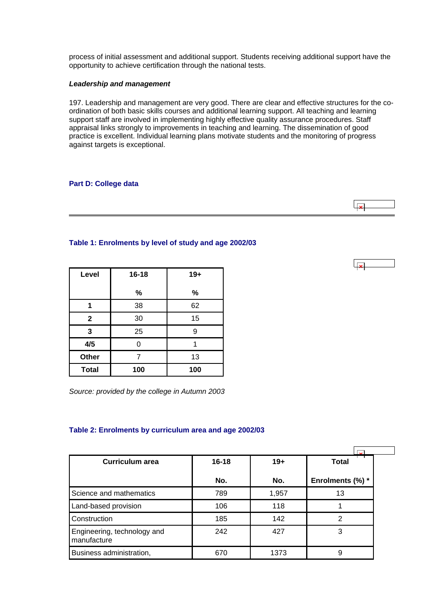<span id="page-63-0"></span>process of initial assessment and additional support. Students receiving additional support have the opportunity to achieve certification through the national tests.

## *Leadership and management*

197. Leadership and management are very good. There are clear and effective structures for the coordination of both basic skills courses and additional learning support. All teaching and learning support staff are involved in implementing highly effective quality assurance procedures. Staff appraisal links strongly to improvements in teaching and learning. The dissemination of good practice is excellent. Individual learning plans motivate students and the monitoring of progress against targets is exceptional.

## **Part D: College data**

**Table 1: Enrolments by level of study and age 2002/03**

| Level        | $16 - 18$ | $19+$ |
|--------------|-----------|-------|
|              | %         | %     |
|              | 38        | 62    |
| $\mathbf{2}$ | 30        | 15    |
| 3            | 25        | 9     |
| 4/5          | 0         |       |
| Other        |           | 13    |
| <b>Total</b> | 100       | 100   |

*Source: provided by the college in Autumn 2003*

## **Table 2: Enrolments by curriculum area and age 2002/03**

| Curriculum area                            | $16 - 18$ | $19+$ | <b>Total</b>     |  |
|--------------------------------------------|-----------|-------|------------------|--|
|                                            | No.       | No.   | Enrolments (%) * |  |
| Science and mathematics                    | 789       | 1,957 | 13               |  |
| Land-based provision                       | 106       | 118   |                  |  |
| Construction                               | 185       | 142   | っ                |  |
| Engineering, technology and<br>manufacture | 242       | 427   | 3                |  |
| Business administration,                   | 670       | 1373  | 9                |  |

ایجا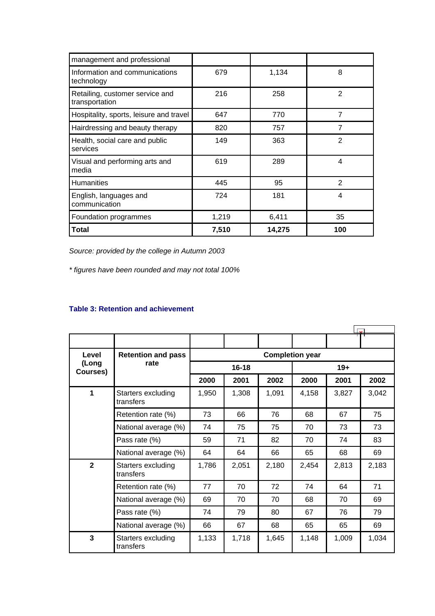<span id="page-64-0"></span>

| management and professional                       |       |        |                |
|---------------------------------------------------|-------|--------|----------------|
| Information and communications<br>technology      | 679   | 1,134  | 8              |
| Retailing, customer service and<br>transportation | 216   | 258    | $\overline{2}$ |
| Hospitality, sports, leisure and travel           | 647   | 770    | $\overline{7}$ |
| Hairdressing and beauty therapy                   | 820   | 757    | $\overline{7}$ |
| Health, social care and public<br>services        | 149   | 363    | 2              |
| Visual and performing arts and<br>media           | 619   | 289    | 4              |
| Humanities                                        | 445   | 95     | $\overline{2}$ |
| English, languages and<br>communication           | 724   | 181    | 4              |
| Foundation programmes                             | 1,219 | 6,411  | 35             |
| Total                                             | 7,510 | 14,275 | 100            |

*Source: provided by the college in Autumn 2003*

*\* figures have been rounded and may not total 100%*

## **Table 3: Retention and achievement**

| Level<br>(Long<br>Courses) | <b>Retention and pass</b>       | <b>Completion year</b> |       |       |       |       |       |
|----------------------------|---------------------------------|------------------------|-------|-------|-------|-------|-------|
|                            | rate                            | $16 - 18$              |       |       | $19+$ |       |       |
|                            |                                 | 2000                   | 2001  | 2002  | 2000  | 2001  | 2002  |
| 1                          | Starters excluding<br>transfers | 1,950                  | 1,308 | 1,091 | 4,158 | 3,827 | 3,042 |
|                            | Retention rate (%)              | 73                     | 66    | 76    | 68    | 67    | 75    |
|                            | National average (%)            | 74                     | 75    | 75    | 70    | 73    | 73    |
|                            | Pass rate (%)                   | 59                     | 71    | 82    | 70    | 74    | 83    |
|                            | National average (%)            | 64                     | 64    | 66    | 65    | 68    | 69    |
| $\mathbf{2}$               | Starters excluding<br>transfers | 1,786                  | 2,051 | 2,180 | 2,454 | 2,813 | 2,183 |
|                            | Retention rate (%)              | 77                     | 70    | 72    | 74    | 64    | 71    |
|                            | National average (%)            | 69                     | 70    | 70    | 68    | 70    | 69    |
|                            | Pass rate (%)                   | 74                     | 79    | 80    | 67    | 76    | 79    |
|                            | National average (%)            | 66                     | 67    | 68    | 65    | 65    | 69    |
| $\overline{3}$             | Starters excluding<br>transfers | 1,133                  | 1,718 | 1,645 | 1,148 | 1,009 | 1,034 |